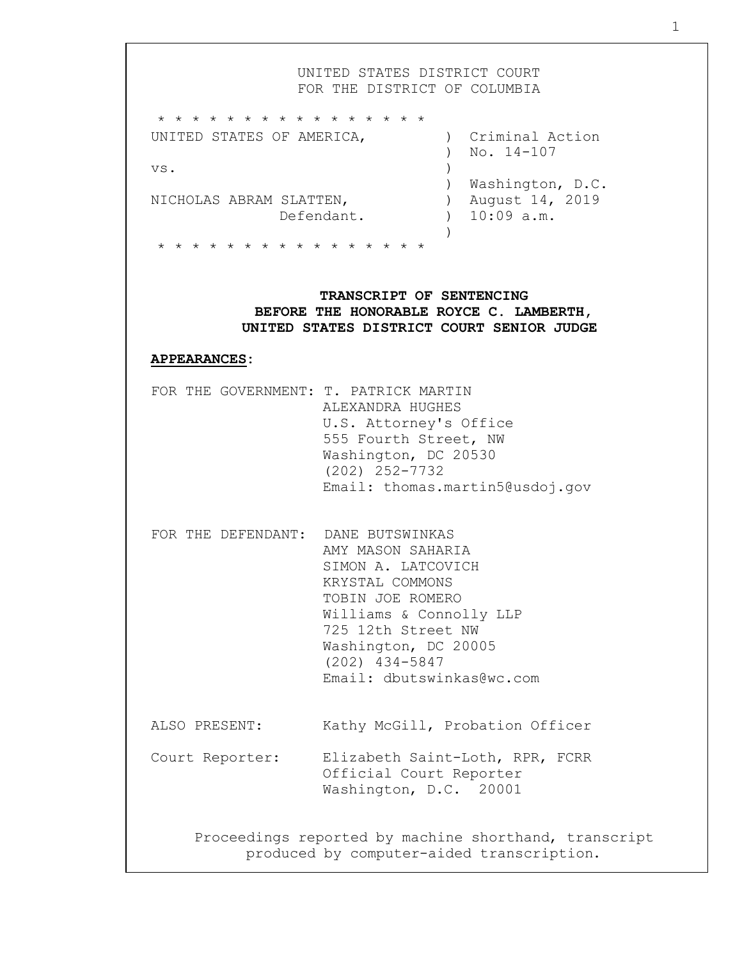UNITED STATES DISTRICT COURT FOR THE DISTRICT OF COLUMBIA \* \* \* \* \* \* \* \* \* \* \* \* \* \* \* \* UNITED STATES OF AMERICA,  $\overline{C}$  (riminal Action ) No. 14-107 vs. ) ) Washington, D.C. NICHOLAS ABRAM SLATTEN, (a) August 14, 2019 Defendant. ) 10:09 a.m.  $\lambda$ \* \* \* \* \* \* \* \* \* \* \* \* \* \* \* \* **TRANSCRIPT OF SENTENCING BEFORE THE HONORABLE ROYCE C. LAMBERTH, UNITED STATES DISTRICT COURT SENIOR JUDGE APPEARANCES:**  FOR THE GOVERNMENT: T. PATRICK MARTIN ALEXANDRA HUGHES U.S. Attorney's Office 555 Fourth Street, NW Washington, DC 20530 (202) 252-7732 Email: thomas.martin5@usdoj.gov FOR THE DEFENDANT: DANE BUTSWINKAS AMY MASON SAHARIA SIMON A. LATCOVICH KRYSTAL COMMONS TOBIN JOE ROMERO Williams & Connolly LLP 725 12th Street NW Washington, DC 20005 (202) 434-5847 Email: dbutswinkas@wc.com ALSO PRESENT: Kathy McGill, Probation Officer Court Reporter: Elizabeth Saint-Loth, RPR, FCRR Official Court Reporter Washington, D.C. 20001 Proceedings reported by machine shorthand, transcript produced by computer-aided transcription.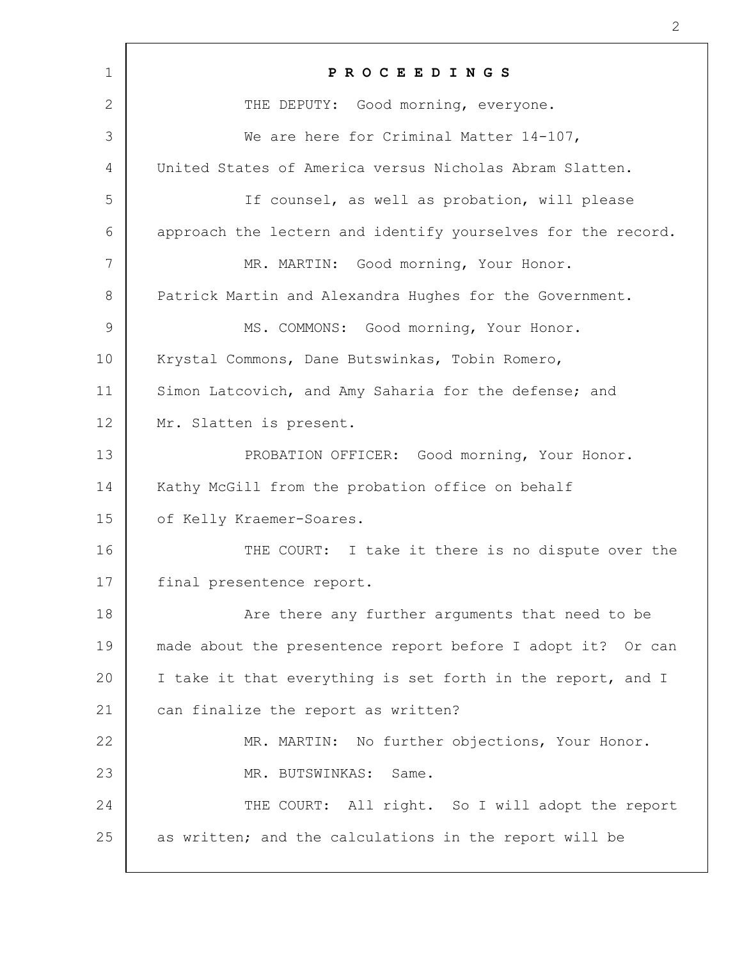| $\mathbf 1$    | PROCEEDINGS                                                  |
|----------------|--------------------------------------------------------------|
| 2              | THE DEPUTY: Good morning, everyone.                          |
| 3              | We are here for Criminal Matter 14-107,                      |
| 4              | United States of America versus Nicholas Abram Slatten.      |
| 5              | If counsel, as well as probation, will please                |
| 6              | approach the lectern and identify yourselves for the record. |
| 7              | MR. MARTIN: Good morning, Your Honor.                        |
| 8              | Patrick Martin and Alexandra Hughes for the Government.      |
| $\overline{9}$ | MS. COMMONS: Good morning, Your Honor.                       |
| 10             | Krystal Commons, Dane Butswinkas, Tobin Romero,              |
| 11             | Simon Latcovich, and Amy Saharia for the defense; and        |
| 12             | Mr. Slatten is present.                                      |
| 13             | PROBATION OFFICER: Good morning, Your Honor.                 |
| 14             | Kathy McGill from the probation office on behalf             |
| 15             | of Kelly Kraemer-Soares.                                     |
| 16             | THE COURT: I take it there is no dispute over the            |
| 17             | final presentence report.                                    |
| 18             | Are there any further arguments that need to be              |
| 19             | made about the presentence report before I adopt it? Or can  |
| 20             | I take it that everything is set forth in the report, and I  |
| 21             | can finalize the report as written?                          |
| 22             | MR. MARTIN: No further objections, Your Honor.               |
| 23             | MR. BUTSWINKAS: Same.                                        |
| 24             | THE COURT: All right. So I will adopt the report             |
| 25             | as written; and the calculations in the report will be       |
|                |                                                              |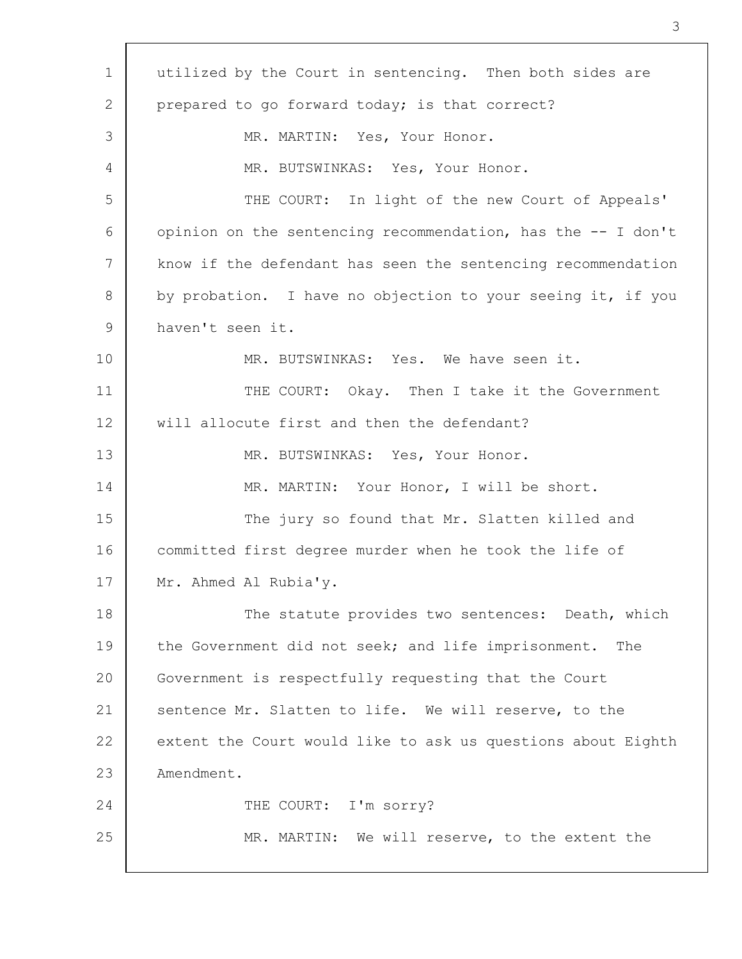| $\mathbf 1$ | utilized by the Court in sentencing. Then both sides are     |
|-------------|--------------------------------------------------------------|
| 2           | prepared to go forward today; is that correct?               |
| 3           | MR. MARTIN: Yes, Your Honor.                                 |
| 4           | MR. BUTSWINKAS: Yes, Your Honor.                             |
| 5           | THE COURT: In light of the new Court of Appeals'             |
| 6           | opinion on the sentencing recommendation, has the -- I don't |
| 7           | know if the defendant has seen the sentencing recommendation |
| 8           | by probation. I have no objection to your seeing it, if you  |
| $\mathsf 9$ | haven't seen it.                                             |
| 10          | MR. BUTSWINKAS: Yes. We have seen it.                        |
| 11          | THE COURT: Okay. Then I take it the Government               |
| 12          | will allocute first and then the defendant?                  |
| 13          | MR. BUTSWINKAS: Yes, Your Honor.                             |
| 14          | MR. MARTIN: Your Honor, I will be short.                     |
| 15          | The jury so found that Mr. Slatten killed and                |
| 16          | committed first degree murder when he took the life of       |
| 17          | Mr. Ahmed Al Rubia'y.                                        |
| 18          | The statute provides two sentences: Death, which             |
| 19          | the Government did not seek; and life imprisonment. The      |
| 20          | Government is respectfully requesting that the Court         |
| 21          | sentence Mr. Slatten to life. We will reserve, to the        |
| 22          | extent the Court would like to ask us questions about Eighth |
| 23          | Amendment.                                                   |
| 24          | THE COURT: I'm sorry?                                        |
| 25          | MR. MARTIN: We will reserve, to the extent the               |
|             |                                                              |

 $\Gamma$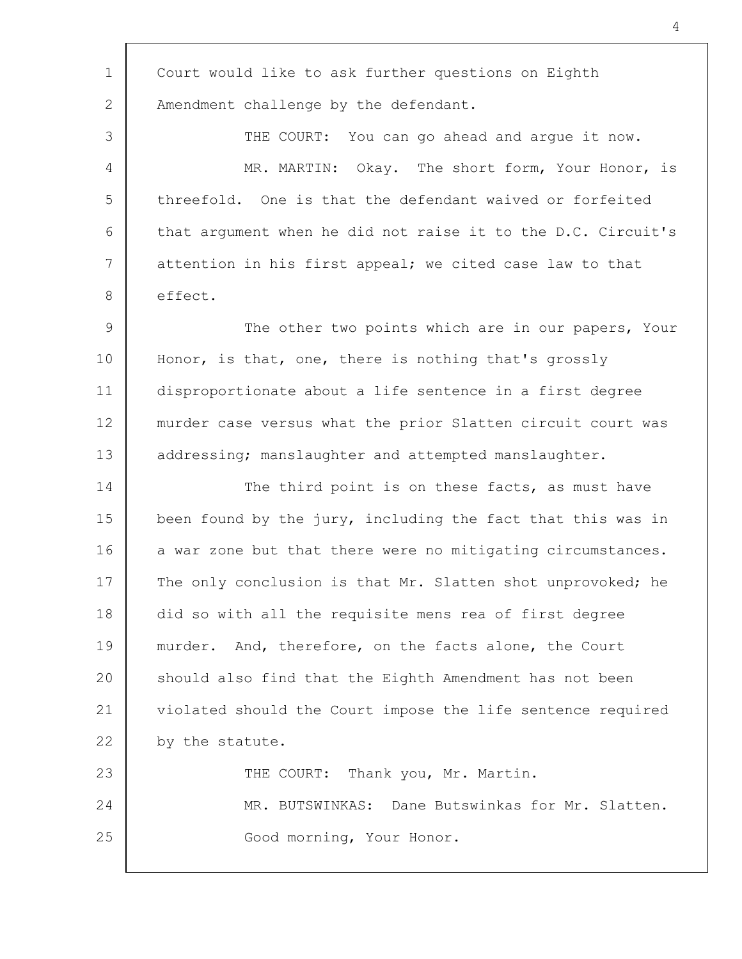| $\mathbf 1$   | Court would like to ask further questions on Eighth          |
|---------------|--------------------------------------------------------------|
| 2             | Amendment challenge by the defendant.                        |
| 3             | THE COURT: You can go ahead and argue it now.                |
| 4             | Okay. The short form, Your Honor, is<br>MR. MARTIN:          |
| 5             | threefold. One is that the defendant waived or forfeited     |
| 6             | that argument when he did not raise it to the D.C. Circuit's |
| 7             | attention in his first appeal; we cited case law to that     |
| 8             | effect.                                                      |
| $\mathcal{G}$ | The other two points which are in our papers, Your           |
| 10            | Honor, is that, one, there is nothing that's grossly         |
| 11            | disproportionate about a life sentence in a first degree     |
| 12            | murder case versus what the prior Slatten circuit court was  |
| 13            | addressing; manslaughter and attempted manslaughter.         |
| 14            | The third point is on these facts, as must have              |
| 15            | been found by the jury, including the fact that this was in  |
| 16            | a war zone but that there were no mitigating circumstances.  |
| 17            | The only conclusion is that Mr. Slatten shot unprovoked; he  |
| 18            | did so with all the requisite mens rea of first degree       |
| 19            | murder. And, therefore, on the facts alone, the Court        |
| 20            | should also find that the Eighth Amendment has not been      |
| 21            | violated should the Court impose the life sentence required  |
| 22            | by the statute.                                              |
| 23            | THE COURT: Thank you, Mr. Martin.                            |
| 24            | MR. BUTSWINKAS: Dane Butswinkas for Mr. Slatten.             |
| 25            | Good morning, Your Honor.                                    |
|               |                                                              |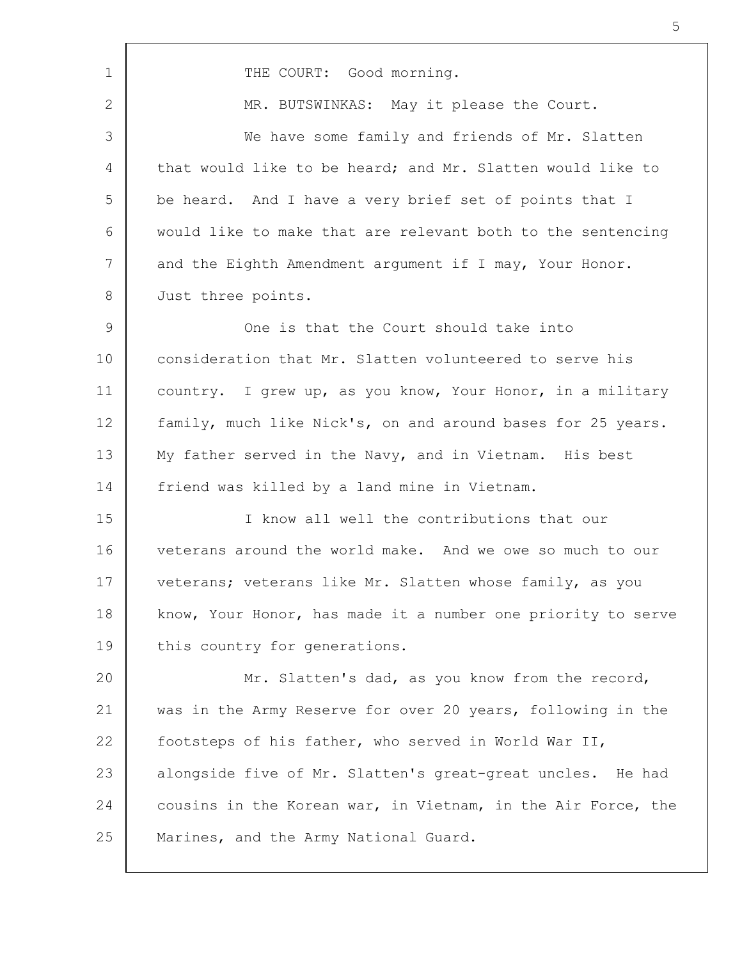1 2 3 4 5 6 7 8 9 10 11 12 13 14 15 16 17 18 19 20 21 22 23 24 25 THE COURT: Good morning. MR. BUTSWINKAS: May it please the Court. We have some family and friends of Mr. Slatten that would like to be heard; and Mr. Slatten would like to be heard. And I have a very brief set of points that I would like to make that are relevant both to the sentencing and the Eighth Amendment argument if I may, Your Honor. Just three points. One is that the Court should take into consideration that Mr. Slatten volunteered to serve his country. I grew up, as you know, Your Honor, in a military family, much like Nick's, on and around bases for 25 years. My father served in the Navy, and in Vietnam. His best friend was killed by a land mine in Vietnam. I know all well the contributions that our veterans around the world make. And we owe so much to our veterans; veterans like Mr. Slatten whose family, as you know, Your Honor, has made it a number one priority to serve this country for generations. Mr. Slatten's dad, as you know from the record, was in the Army Reserve for over 20 years, following in the footsteps of his father, who served in World War II, alongside five of Mr. Slatten's great-great uncles. He had cousins in the Korean war, in Vietnam, in the Air Force, the Marines, and the Army National Guard.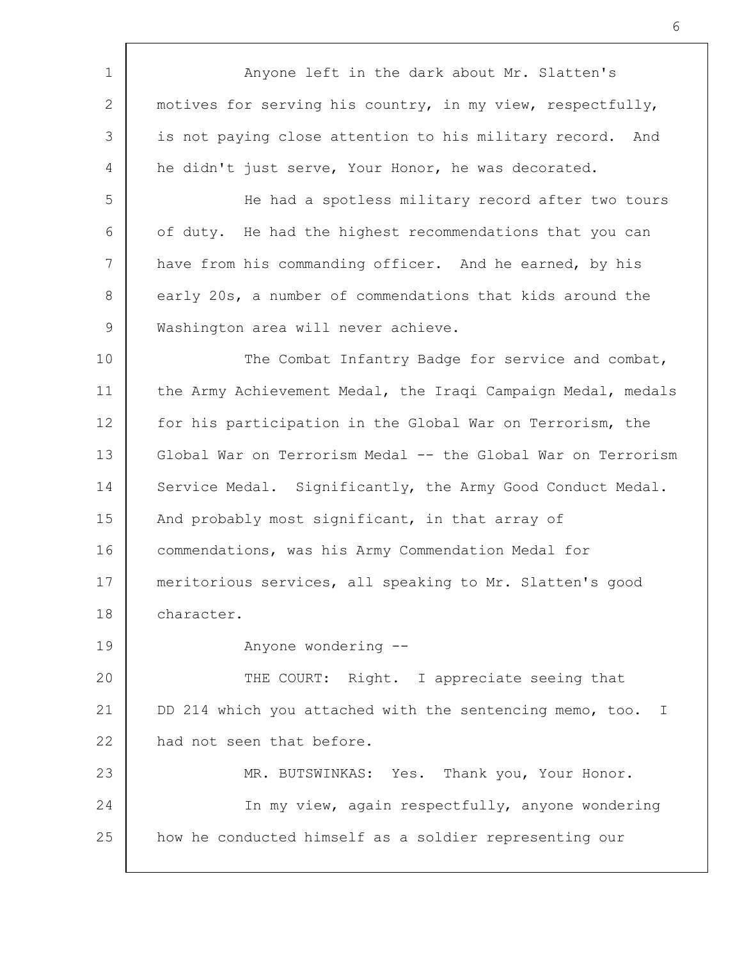1 2 3 4 5 6 7 8 9 10 11 12 13 14 15 16 17 18 19 20 21 22 23 24 25 Anyone left in the dark about Mr. Slatten's motives for serving his country, in my view, respectfully, is not paying close attention to his military record. And he didn't just serve, Your Honor, he was decorated. He had a spotless military record after two tours of duty. He had the highest recommendations that you can have from his commanding officer. And he earned, by his early 20s, a number of commendations that kids around the Washington area will never achieve. The Combat Infantry Badge for service and combat, the Army Achievement Medal, the Iraqi Campaign Medal, medals for his participation in the Global War on Terrorism, the Global War on Terrorism Medal -- the Global War on Terrorism Service Medal. Significantly, the Army Good Conduct Medal. And probably most significant, in that array of commendations, was his Army Commendation Medal for meritorious services, all speaking to Mr. Slatten's good character. Anyone wondering -- THE COURT: Right. I appreciate seeing that DD 214 which you attached with the sentencing memo, too. I had not seen that before. MR. BUTSWINKAS: Yes. Thank you, Your Honor. In my view, again respectfully, anyone wondering how he conducted himself as a soldier representing our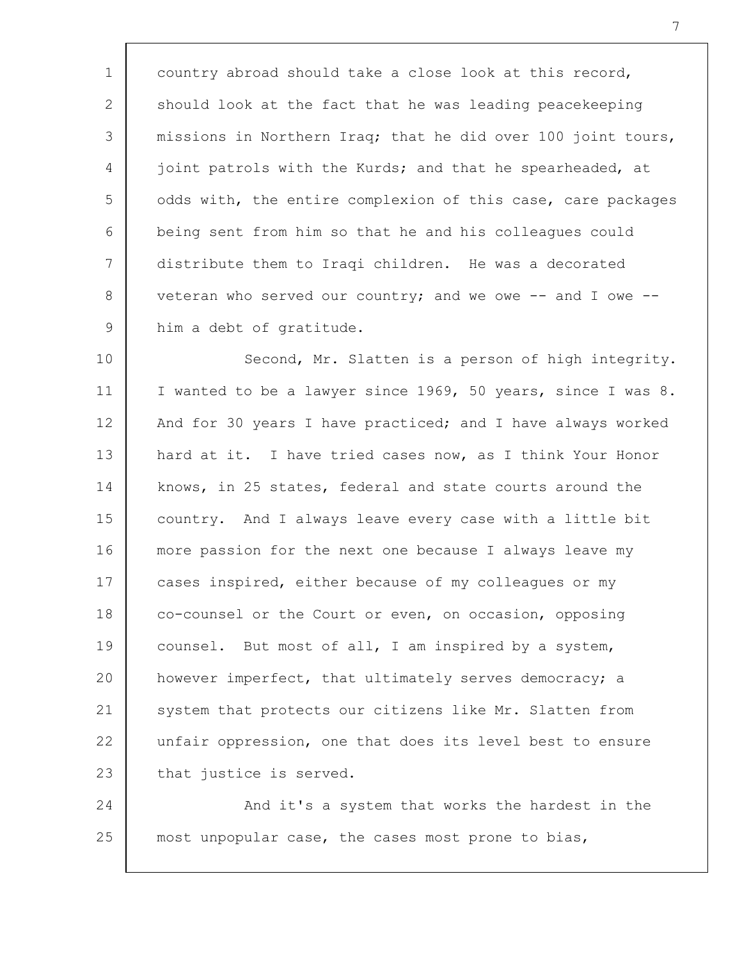1 2 3 4 5 6 7 8 9 country abroad should take a close look at this record, should look at the fact that he was leading peacekeeping missions in Northern Iraq; that he did over 100 joint tours, joint patrols with the Kurds; and that he spearheaded, at odds with, the entire complexion of this case, care packages being sent from him so that he and his colleagues could distribute them to Iraqi children. He was a decorated veteran who served our country; and we owe  $--$  and I owe  $-$ him a debt of gratitude.

10 11 12 13 14 15 16 17 18 19 20 21 22 23 Second, Mr. Slatten is a person of high integrity. I wanted to be a lawyer since 1969, 50 years, since I was 8. And for 30 years I have practiced; and I have always worked hard at it. I have tried cases now, as I think Your Honor knows, in 25 states, federal and state courts around the country. And I always leave every case with a little bit more passion for the next one because I always leave my cases inspired, either because of my colleagues or my co-counsel or the Court or even, on occasion, opposing counsel. But most of all, I am inspired by a system, however imperfect, that ultimately serves democracy; a system that protects our citizens like Mr. Slatten from unfair oppression, one that does its level best to ensure that justice is served.

24 25 And it's a system that works the hardest in the most unpopular case, the cases most prone to bias,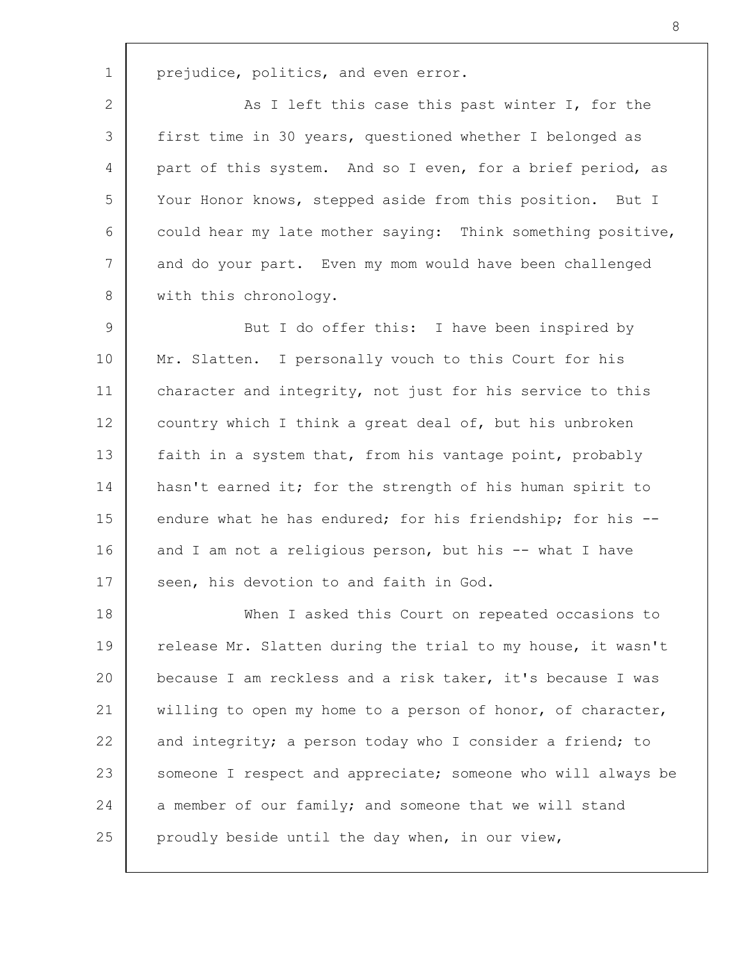prejudice, politics, and even error.

1

2 3 4 5 6 7 8 As I left this case this past winter I, for the first time in 30 years, questioned whether I belonged as part of this system. And so I even, for a brief period, as Your Honor knows, stepped aside from this position. But I could hear my late mother saying: Think something positive, and do your part. Even my mom would have been challenged with this chronology.

9 10 11 12 13 14 15 16 17 But I do offer this: I have been inspired by Mr. Slatten. I personally vouch to this Court for his character and integrity, not just for his service to this country which I think a great deal of, but his unbroken faith in a system that, from his vantage point, probably hasn't earned it; for the strength of his human spirit to endure what he has endured; for his friendship; for his -and I am not a religious person, but his -- what I have seen, his devotion to and faith in God.

18 19 20 21 22 23 24 25 When I asked this Court on repeated occasions to release Mr. Slatten during the trial to my house, it wasn't because I am reckless and a risk taker, it's because I was willing to open my home to a person of honor, of character, and integrity; a person today who I consider a friend; to someone I respect and appreciate; someone who will always be a member of our family; and someone that we will stand proudly beside until the day when, in our view,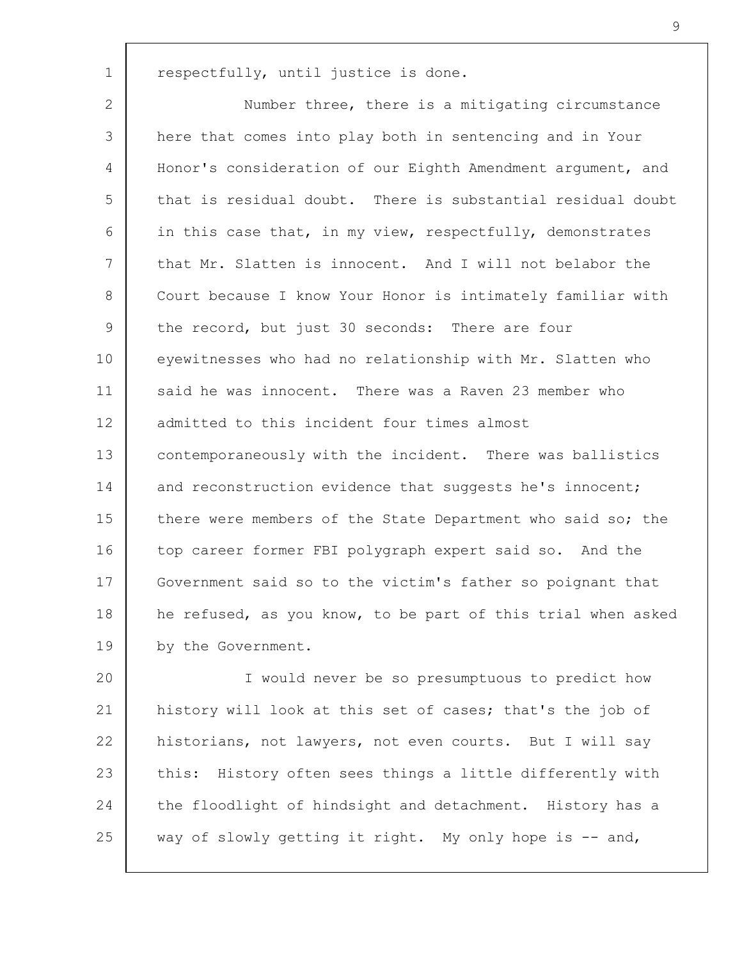respectfully, until justice is done.

1

2 3 4 5 6 7 8 9 10 11 12 13 14 15 16 17 18 19 Number three, there is a mitigating circumstance here that comes into play both in sentencing and in Your Honor's consideration of our Eighth Amendment argument, and that is residual doubt. There is substantial residual doubt in this case that, in my view, respectfully, demonstrates that Mr. Slatten is innocent. And I will not belabor the Court because I know Your Honor is intimately familiar with the record, but just 30 seconds: There are four eyewitnesses who had no relationship with Mr. Slatten who said he was innocent. There was a Raven 23 member who admitted to this incident four times almost contemporaneously with the incident. There was ballistics and reconstruction evidence that suggests he's innocent; there were members of the State Department who said so; the top career former FBI polygraph expert said so. And the Government said so to the victim's father so poignant that he refused, as you know, to be part of this trial when asked by the Government.

20 21 22 23 24 25 I would never be so presumptuous to predict how history will look at this set of cases; that's the job of historians, not lawyers, not even courts. But I will say this: History often sees things a little differently with the floodlight of hindsight and detachment. History has a way of slowly getting it right. My only hope is -- and,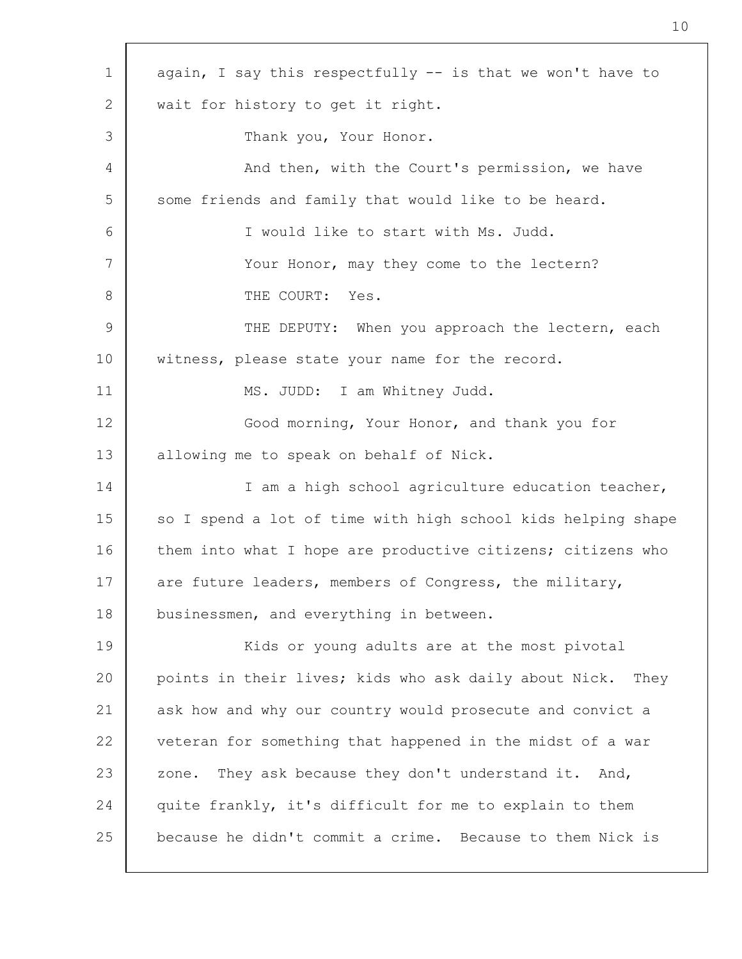| $\mathbf 1$     | again, I say this respectfully -- is that we won't have to   |
|-----------------|--------------------------------------------------------------|
| 2               | wait for history to get it right.                            |
| 3               | Thank you, Your Honor.                                       |
| 4               | And then, with the Court's permission, we have               |
| 5               | some friends and family that would like to be heard.         |
| 6               | I would like to start with Ms. Judd.                         |
| 7               | Your Honor, may they come to the lectern?                    |
| 8               | THE COURT: Yes.                                              |
| $\mathcal{G}$   | THE DEPUTY: When you approach the lectern, each              |
| 10 <sub>o</sub> | witness, please state your name for the record.              |
| 11              | MS. JUDD: I am Whitney Judd.                                 |
| 12              | Good morning, Your Honor, and thank you for                  |
| 13              | allowing me to speak on behalf of Nick.                      |
| 14              | I am a high school agriculture education teacher,            |
| 15              | so I spend a lot of time with high school kids helping shape |
| 16              | them into what I hope are productive citizens; citizens who  |
| 17              | are future leaders, members of Congress, the military,       |
| 18              | businessmen, and everything in between.                      |
| 19              | Kids or young adults are at the most pivotal                 |
| 20              | points in their lives; kids who ask daily about Nick. They   |
| 21              | ask how and why our country would prosecute and convict a    |
| 22              | veteran for something that happened in the midst of a war    |
| 23              | They ask because they don't understand it. And,<br>zone.     |
| 24              | quite frankly, it's difficult for me to explain to them      |
| 25              | because he didn't commit a crime. Because to them Nick is    |
|                 |                                                              |

 $\Gamma$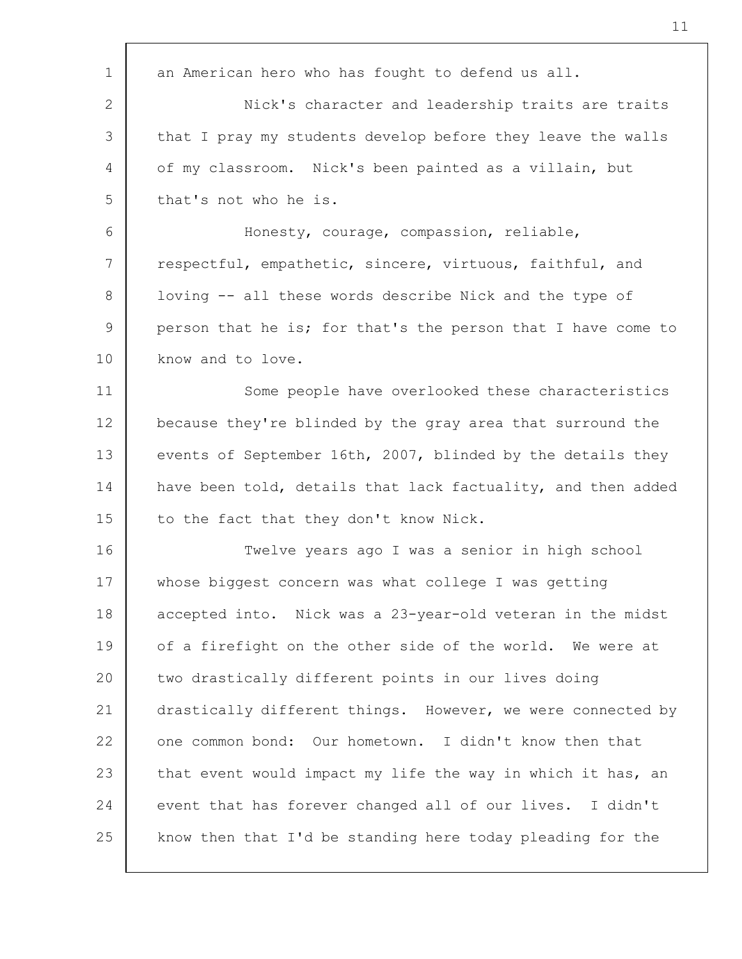| $\mathbf 1$           | an American hero who has fought to defend us all.            |
|-----------------------|--------------------------------------------------------------|
| $\mathbf{2}^{\prime}$ | Nick's character and leadership traits are traits            |
| 3                     | that I pray my students develop before they leave the walls  |
| 4                     | of my classroom. Nick's been painted as a villain, but       |
| 5                     | that's not who he is.                                        |
| 6                     | Honesty, courage, compassion, reliable,                      |
| 7                     | respectful, empathetic, sincere, virtuous, faithful, and     |
| 8                     | loving -- all these words describe Nick and the type of      |
| 9                     | person that he is; for that's the person that I have come to |
| 10                    | know and to love.                                            |
| 11                    | Some people have overlooked these characteristics            |
| 12                    | because they're blinded by the gray area that surround the   |
| 13                    | events of September 16th, 2007, blinded by the details they  |
| 14                    | have been told, details that lack factuality, and then added |
| 15                    | to the fact that they don't know Nick.                       |
| 16                    | Twelve years ago I was a senior in high school               |
| 17                    | whose biggest concern was what college I was getting         |
| 18                    | accepted into. Nick was a 23-year-old veteran in the midst   |
| 19                    | of a firefight on the other side of the world. We were at    |
| 20                    | two drastically different points in our lives doing          |
| 21                    | drastically different things. However, we were connected by  |
| 22                    | one common bond: Our hometown. I didn't know then that       |
| 23                    | that event would impact my life the way in which it has, an  |
| 24                    | event that has forever changed all of our lives. I didn't    |
| 25                    | know then that I'd be standing here today pleading for the   |
|                       |                                                              |

Г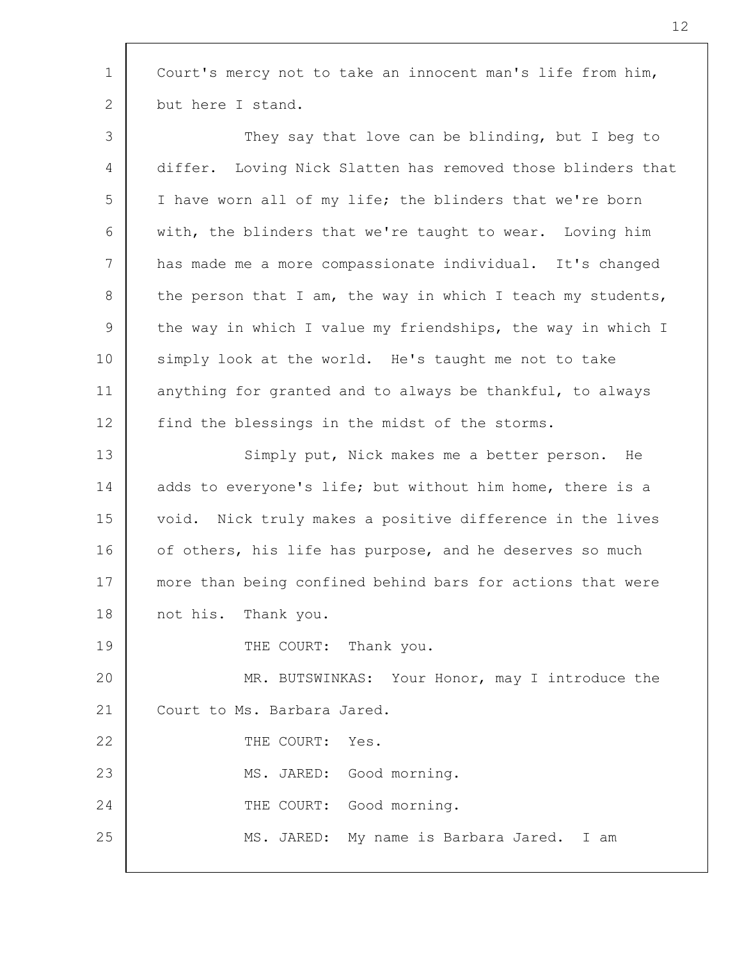1 2 3 4 5 6 7 8 9 10 11 12 13 14 15 16 17 18 19 20 21 22 23 24 25 Court's mercy not to take an innocent man's life from him, but here I stand. They say that love can be blinding, but I beg to differ. Loving Nick Slatten has removed those blinders that I have worn all of my life; the blinders that we're born with, the blinders that we're taught to wear. Loving him has made me a more compassionate individual. It's changed the person that I am, the way in which I teach my students, the way in which I value my friendships, the way in which I simply look at the world. He's taught me not to take anything for granted and to always be thankful, to always find the blessings in the midst of the storms. Simply put, Nick makes me a better person. He adds to everyone's life; but without him home, there is a void. Nick truly makes a positive difference in the lives of others, his life has purpose, and he deserves so much more than being confined behind bars for actions that were not his. Thank you. THE COURT: Thank you. MR. BUTSWINKAS: Your Honor, may I introduce the Court to Ms. Barbara Jared. THE COURT: Yes. MS. JARED: Good morning. THE COURT: Good morning. MS. JARED: My name is Barbara Jared. I am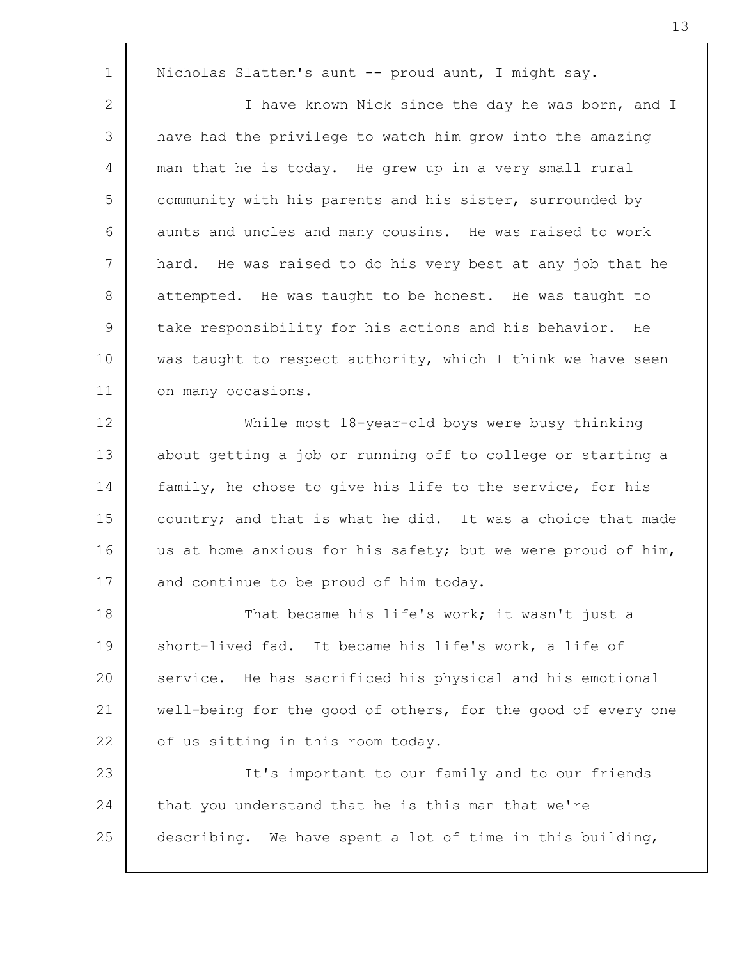1 2 3 4 5 6 7 8 9 10 11 12 13 14 15 16 17 18 19 20 21 22 23 24 25 Nicholas Slatten's aunt -- proud aunt, I might say. I have known Nick since the day he was born, and I have had the privilege to watch him grow into the amazing man that he is today. He grew up in a very small rural community with his parents and his sister, surrounded by aunts and uncles and many cousins. He was raised to work hard. He was raised to do his very best at any job that he attempted. He was taught to be honest. He was taught to take responsibility for his actions and his behavior. He was taught to respect authority, which I think we have seen on many occasions. While most 18-year-old boys were busy thinking about getting a job or running off to college or starting a family, he chose to give his life to the service, for his country; and that is what he did. It was a choice that made us at home anxious for his safety; but we were proud of him, and continue to be proud of him today. That became his life's work; it wasn't just a short-lived fad. It became his life's work, a life of service. He has sacrificed his physical and his emotional well-being for the good of others, for the good of every one of us sitting in this room today. It's important to our family and to our friends that you understand that he is this man that we're describing. We have spent a lot of time in this building,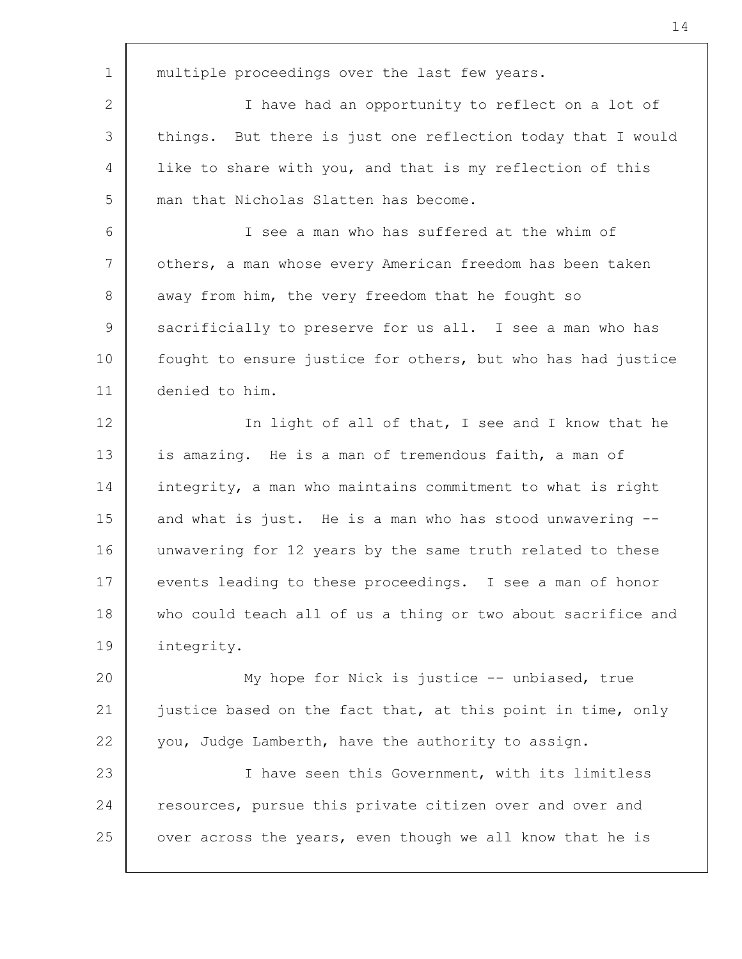1 2 3 4 5 6 7 8 9 10 11 12 13 14 15 16 17 18 19 20 21 22 23 24 25 multiple proceedings over the last few years. I have had an opportunity to reflect on a lot of things. But there is just one reflection today that I would like to share with you, and that is my reflection of this man that Nicholas Slatten has become. I see a man who has suffered at the whim of others, a man whose every American freedom has been taken away from him, the very freedom that he fought so sacrificially to preserve for us all. I see a man who has fought to ensure justice for others, but who has had justice denied to him. In light of all of that, I see and I know that he is amazing. He is a man of tremendous faith, a man of integrity, a man who maintains commitment to what is right and what is just. He is a man who has stood unwavering - unwavering for 12 years by the same truth related to these events leading to these proceedings. I see a man of honor who could teach all of us a thing or two about sacrifice and integrity. My hope for Nick is justice -- unbiased, true justice based on the fact that, at this point in time, only you, Judge Lamberth, have the authority to assign. I have seen this Government, with its limitless resources, pursue this private citizen over and over and over across the years, even though we all know that he is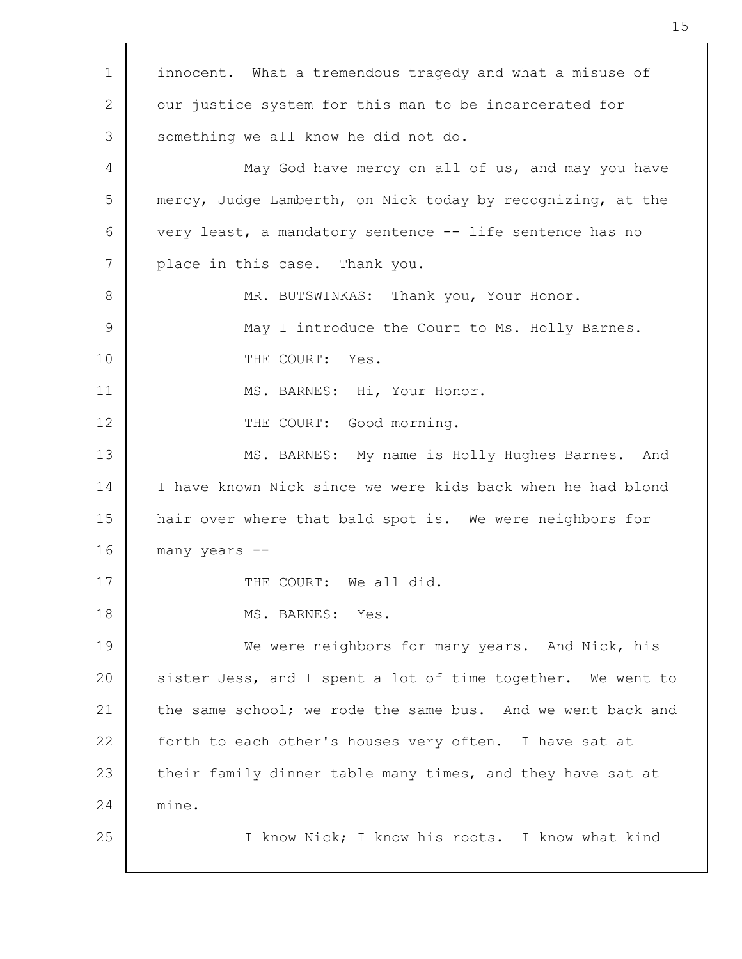| $\mathbf 1$     | innocent. What a tremendous tragedy and what a misuse of    |
|-----------------|-------------------------------------------------------------|
| 2               | our justice system for this man to be incarcerated for      |
| 3               | something we all know he did not do.                        |
| 4               | May God have mercy on all of us, and may you have           |
| 5               | mercy, Judge Lamberth, on Nick today by recognizing, at the |
| 6               | very least, a mandatory sentence -- life sentence has no    |
| $7\phantom{.0}$ | place in this case. Thank you.                              |
| 8               | MR. BUTSWINKAS: Thank you, Your Honor.                      |
| 9               | May I introduce the Court to Ms. Holly Barnes.              |
| 10              | THE COURT: Yes.                                             |
| 11              | MS. BARNES: Hi, Your Honor.                                 |
| 12              | THE COURT: Good morning.                                    |
| 13              | MS. BARNES: My name is Holly Hughes Barnes. And             |
| 14              | I have known Nick since we were kids back when he had blond |
| 15              | hair over where that bald spot is. We were neighbors for    |
| 16              | many years --                                               |
| 17              | THE COURT: We all did.                                      |
| 18              | MS. BARNES: Yes.                                            |
| 19              | We were neighbors for many years. And Nick, his             |
| 20              | sister Jess, and I spent a lot of time together. We went to |
| 21              | the same school; we rode the same bus. And we went back and |
| 22              | forth to each other's houses very often. I have sat at      |
| 23              | their family dinner table many times, and they have sat at  |
| 24              | mine.                                                       |
| 25              | I know Nick; I know his roots. I know what kind             |
|                 |                                                             |

 $\sqrt{ }$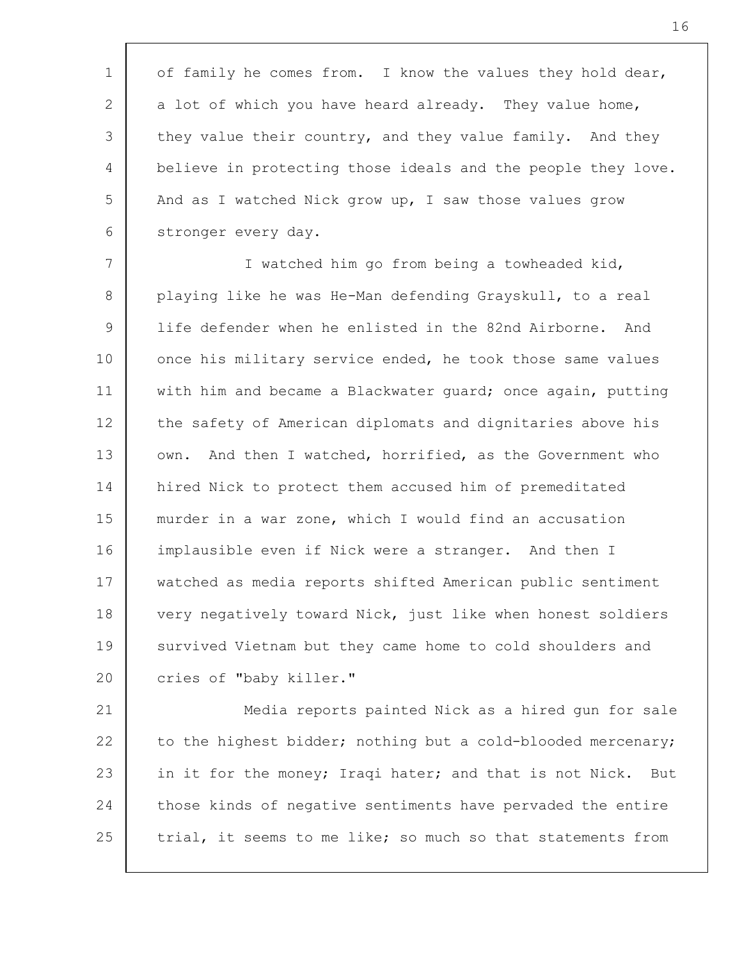1 2 3 4 5 6 of family he comes from. I know the values they hold dear, a lot of which you have heard already. They value home, they value their country, and they value family. And they believe in protecting those ideals and the people they love. And as I watched Nick grow up, I saw those values grow stronger every day.

7 8 9 10 11 12 13 14 15 16 17 18 19 20 I watched him go from being a towheaded kid, playing like he was He-Man defending Grayskull, to a real life defender when he enlisted in the 82nd Airborne. And once his military service ended, he took those same values with him and became a Blackwater guard; once again, putting the safety of American diplomats and dignitaries above his own. And then I watched, horrified, as the Government who hired Nick to protect them accused him of premeditated murder in a war zone, which I would find an accusation implausible even if Nick were a stranger. And then I watched as media reports shifted American public sentiment very negatively toward Nick, just like when honest soldiers survived Vietnam but they came home to cold shoulders and cries of "baby killer."

21 22 23 24 25 Media reports painted Nick as a hired gun for sale to the highest bidder; nothing but a cold-blooded mercenary; in it for the money; Iraqi hater; and that is not Nick. But those kinds of negative sentiments have pervaded the entire trial, it seems to me like; so much so that statements from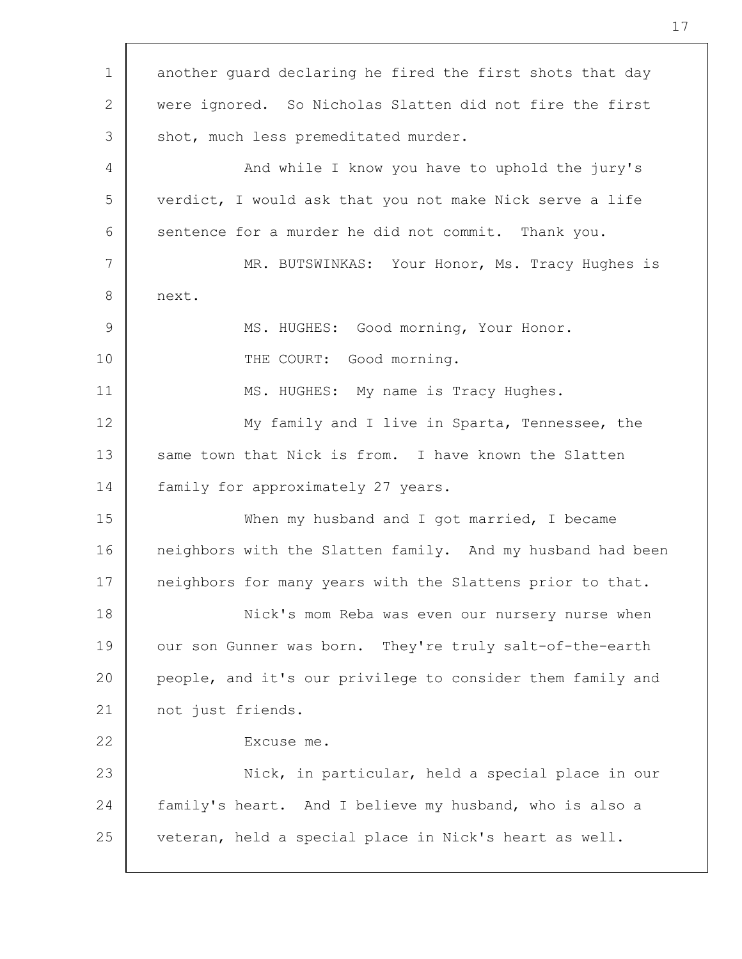| $\mathbf 1$    | another quard declaring he fired the first shots that day  |
|----------------|------------------------------------------------------------|
| $\overline{2}$ | were ignored. So Nicholas Slatten did not fire the first   |
| 3              | shot, much less premeditated murder.                       |
| 4              | And while I know you have to uphold the jury's             |
| 5              | verdict, I would ask that you not make Nick serve a life   |
| 6              | sentence for a murder he did not commit. Thank you.        |
| 7              | MR. BUTSWINKAS: Your Honor, Ms. Tracy Hughes is            |
| 8              | next.                                                      |
| 9              | MS. HUGHES: Good morning, Your Honor.                      |
| 10             | THE COURT: Good morning.                                   |
| 11             | MS. HUGHES: My name is Tracy Hughes.                       |
| 12             | My family and I live in Sparta, Tennessee, the             |
| 13             | same town that Nick is from. I have known the Slatten      |
| 14             | family for approximately 27 years.                         |
| 15             | When my husband and I got married, I became                |
| 16             | neighbors with the Slatten family. And my husband had been |
| 17             | neighbors for many years with the Slattens prior to that.  |
| 18             | Nick's mom Reba was even our nursery nurse when            |
| 19             | our son Gunner was born. They're truly salt-of-the-earth   |
| 20             | people, and it's our privilege to consider them family and |
| 21             | not just friends.                                          |
| 22             | Excuse me.                                                 |
| 23             | Nick, in particular, held a special place in our           |
| 24             | family's heart. And I believe my husband, who is also a    |
| 25             | veteran, held a special place in Nick's heart as well.     |
|                |                                                            |

 $\Gamma$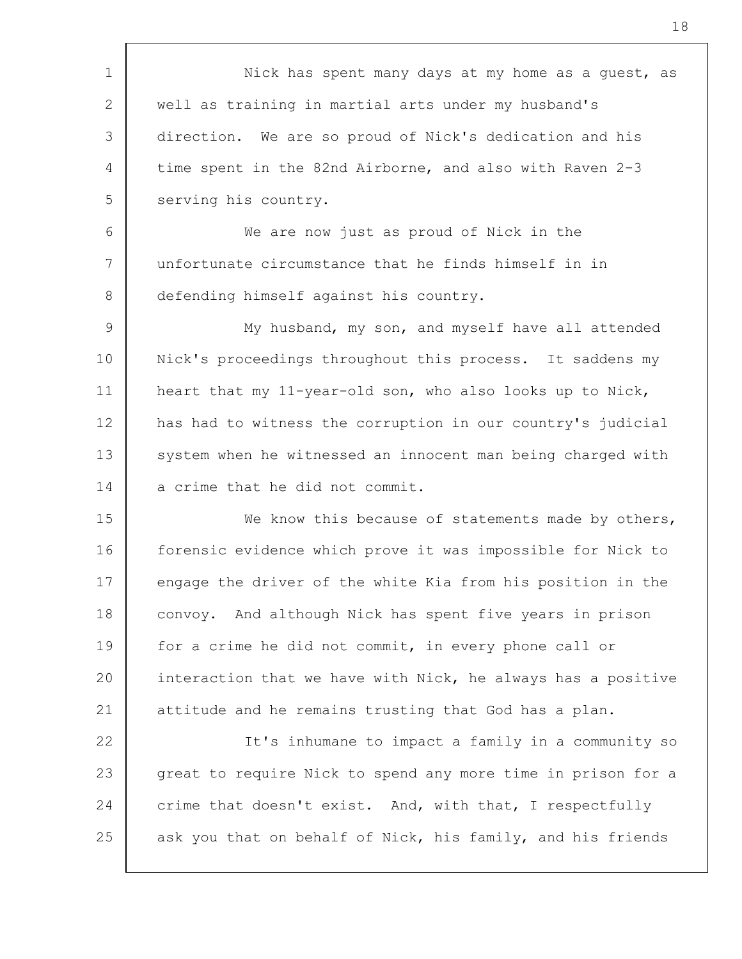1 2 3 4 5 6 7 8 9 10 11 12 13 14 15 16 17 18 19 20 21 22 23 24 25 Nick has spent many days at my home as a guest, as well as training in martial arts under my husband's direction. We are so proud of Nick's dedication and his time spent in the 82nd Airborne, and also with Raven 2-3 serving his country. We are now just as proud of Nick in the unfortunate circumstance that he finds himself in in defending himself against his country. My husband, my son, and myself have all attended Nick's proceedings throughout this process. It saddens my heart that my 11-year-old son, who also looks up to Nick, has had to witness the corruption in our country's judicial system when he witnessed an innocent man being charged with a crime that he did not commit. We know this because of statements made by others, forensic evidence which prove it was impossible for Nick to engage the driver of the white Kia from his position in the convoy. And although Nick has spent five years in prison for a crime he did not commit, in every phone call or interaction that we have with Nick, he always has a positive attitude and he remains trusting that God has a plan. It's inhumane to impact a family in a community so great to require Nick to spend any more time in prison for a crime that doesn't exist. And, with that, I respectfully ask you that on behalf of Nick, his family, and his friends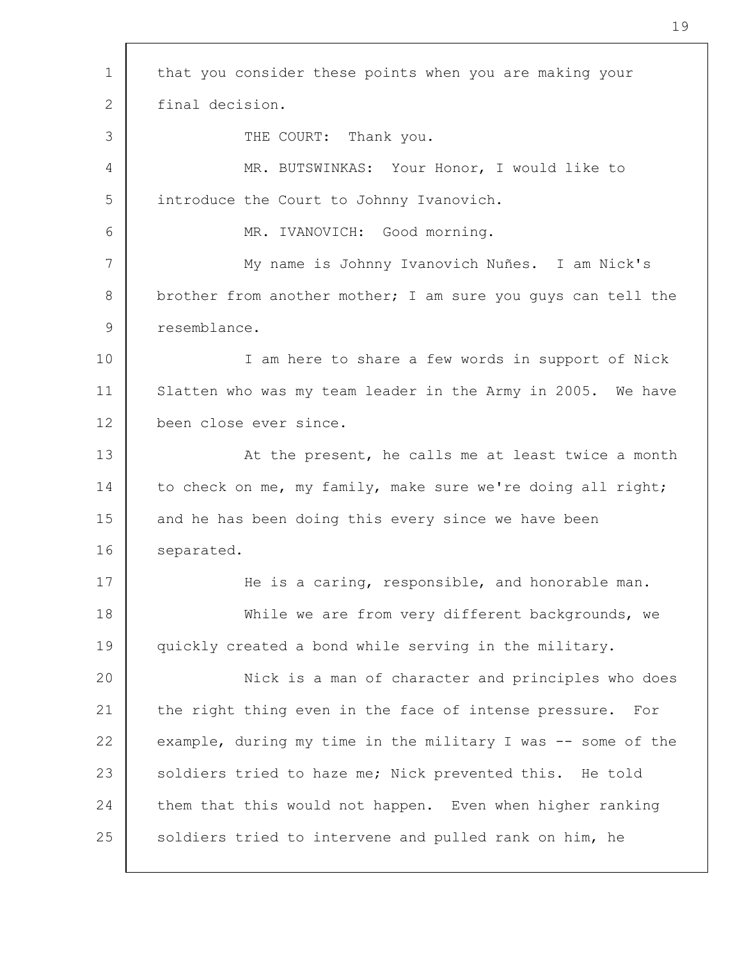1 2 3 4 5 6 7 8 9 10 11 12 13 14 15 16 17 18 19 20 21 22 23 24 25 that you consider these points when you are making your final decision. THE COURT: Thank you. MR. BUTSWINKAS: Your Honor, I would like to introduce the Court to Johnny Ivanovich. MR. IVANOVICH: Good morning. My name is Johnny Ivanovich Nuñes. I am Nick's brother from another mother; I am sure you guys can tell the resemblance. I am here to share a few words in support of Nick Slatten who was my team leader in the Army in 2005. We have been close ever since. At the present, he calls me at least twice a month to check on me, my family, make sure we're doing all right; and he has been doing this every since we have been separated. He is a caring, responsible, and honorable man. While we are from very different backgrounds, we quickly created a bond while serving in the military. Nick is a man of character and principles who does the right thing even in the face of intense pressure. For example, during my time in the military I was -- some of the soldiers tried to haze me; Nick prevented this. He told them that this would not happen. Even when higher ranking soldiers tried to intervene and pulled rank on him, he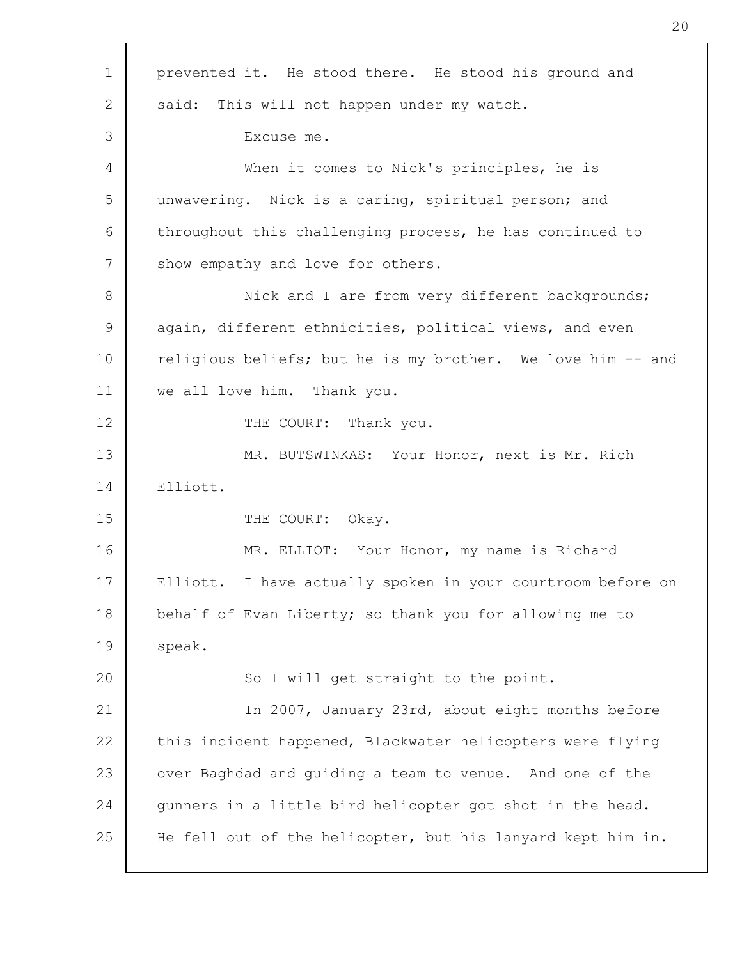| $\mathbf 1$ | prevented it. He stood there. He stood his ground and       |
|-------------|-------------------------------------------------------------|
| 2           | said: This will not happen under my watch.                  |
| 3           | Excuse me.                                                  |
| 4           | When it comes to Nick's principles, he is                   |
| 5           | unwavering. Nick is a caring, spiritual person; and         |
| 6           | throughout this challenging process, he has continued to    |
| 7           | show empathy and love for others.                           |
| 8           | Nick and I are from very different backgrounds;             |
| 9           | again, different ethnicities, political views, and even     |
| 10          | religious beliefs; but he is my brother. We love him -- and |
| 11          | we all love him. Thank you.                                 |
| 12          | THE COURT: Thank you.                                       |
| 13          | MR. BUTSWINKAS: Your Honor, next is Mr. Rich                |
| 14          | Elliott.                                                    |
| 15          | THE COURT: Okay.                                            |
| 16          | MR. ELLIOT: Your Honor, my name is Richard                  |
| 17          | Elliott. I have actually spoken in your courtroom before on |
| 18          | behalf of Evan Liberty; so thank you for allowing me to     |
| 19          | speak.                                                      |
| 20          | So I will get straight to the point.                        |
| 21          | In 2007, January 23rd, about eight months before            |
| 22          | this incident happened, Blackwater helicopters were flying  |
| 23          | over Baghdad and guiding a team to venue. And one of the    |
| 24          | gunners in a little bird helicopter got shot in the head.   |
| 25          | He fell out of the helicopter, but his lanyard kept him in. |

 $\lceil$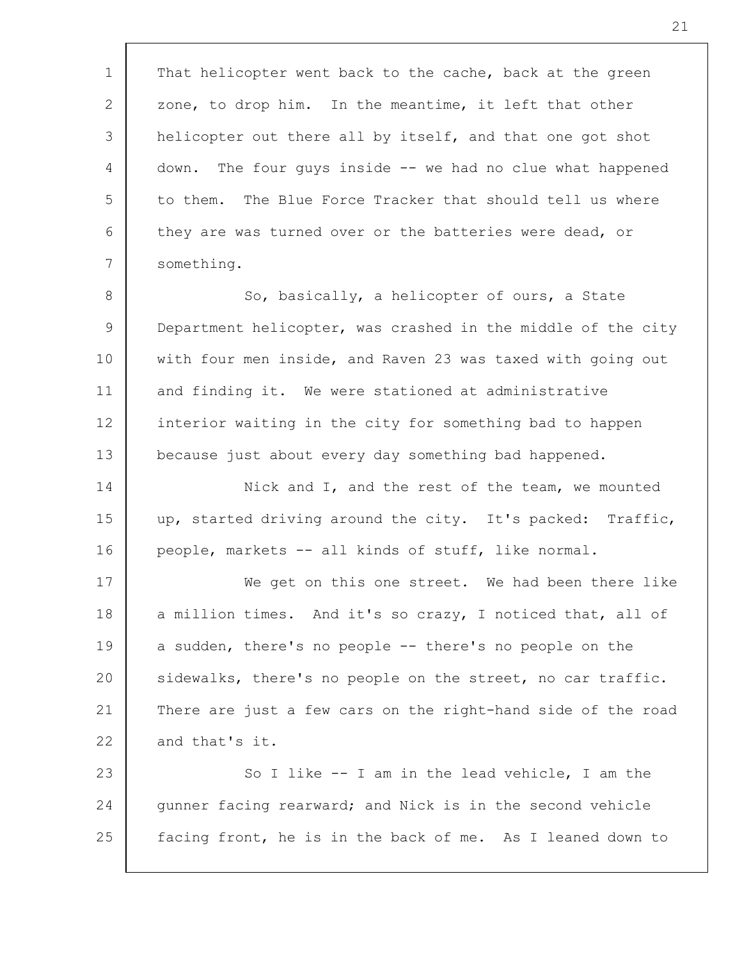1 2 3 4 5 6 7 8 9 10 11 12 13 14 15 16 17 18 19 20 21 22 23 24 25 That helicopter went back to the cache, back at the green zone, to drop him. In the meantime, it left that other helicopter out there all by itself, and that one got shot down. The four guys inside -- we had no clue what happened to them. The Blue Force Tracker that should tell us where they are was turned over or the batteries were dead, or something. So, basically, a helicopter of ours, a State Department helicopter, was crashed in the middle of the city with four men inside, and Raven 23 was taxed with going out and finding it. We were stationed at administrative interior waiting in the city for something bad to happen because just about every day something bad happened. Nick and I, and the rest of the team, we mounted up, started driving around the city. It's packed: Traffic, people, markets -- all kinds of stuff, like normal. We get on this one street. We had been there like a million times. And it's so crazy, I noticed that, all of a sudden, there's no people -- there's no people on the sidewalks, there's no people on the street, no car traffic. There are just a few cars on the right-hand side of the road and that's it. So I like -- I am in the lead vehicle, I am the gunner facing rearward; and Nick is in the second vehicle facing front, he is in the back of me. As I leaned down to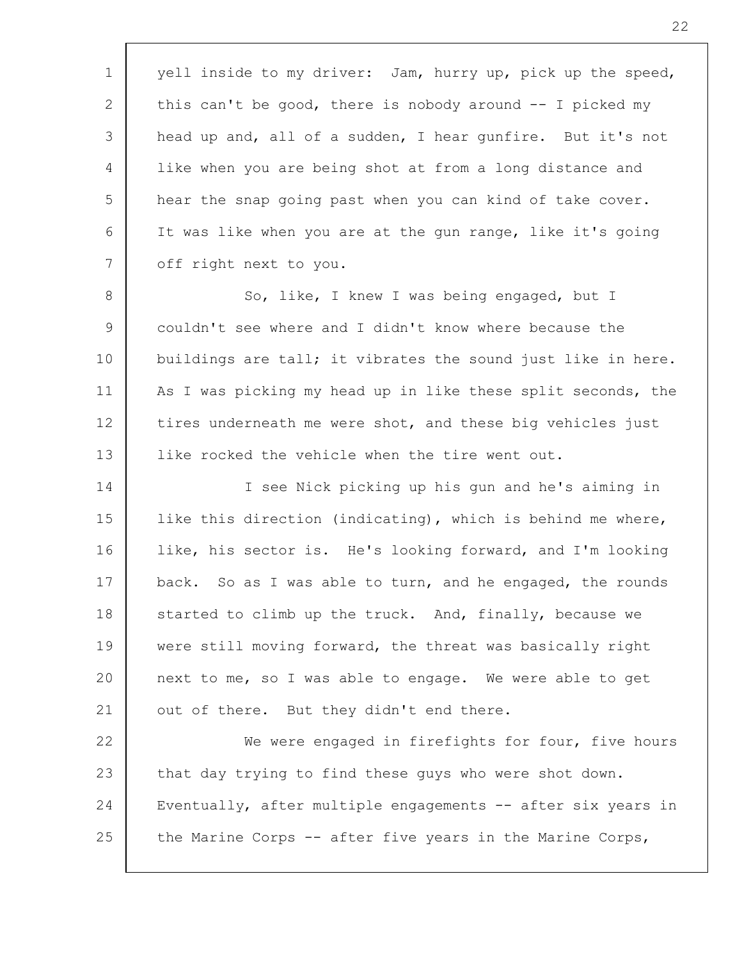1 2 3 4 5 6 7 yell inside to my driver: Jam, hurry up, pick up the speed, this can't be good, there is nobody around -- I picked my head up and, all of a sudden, I hear gunfire. But it's not like when you are being shot at from a long distance and hear the snap going past when you can kind of take cover. It was like when you are at the gun range, like it's going off right next to you.

8 9 10 11 12 13 So, like, I knew I was being engaged, but I couldn't see where and I didn't know where because the buildings are tall; it vibrates the sound just like in here. As I was picking my head up in like these split seconds, the tires underneath me were shot, and these big vehicles just like rocked the vehicle when the tire went out.

14 15 16 17 18 19 20 21 I see Nick picking up his gun and he's aiming in like this direction (indicating), which is behind me where, like, his sector is. He's looking forward, and I'm looking back. So as I was able to turn, and he engaged, the rounds started to climb up the truck. And, finally, because we were still moving forward, the threat was basically right next to me, so I was able to engage. We were able to get out of there. But they didn't end there.

22 23 24 25 We were engaged in firefights for four, five hours that day trying to find these guys who were shot down. Eventually, after multiple engagements -- after six years in the Marine Corps -- after five years in the Marine Corps,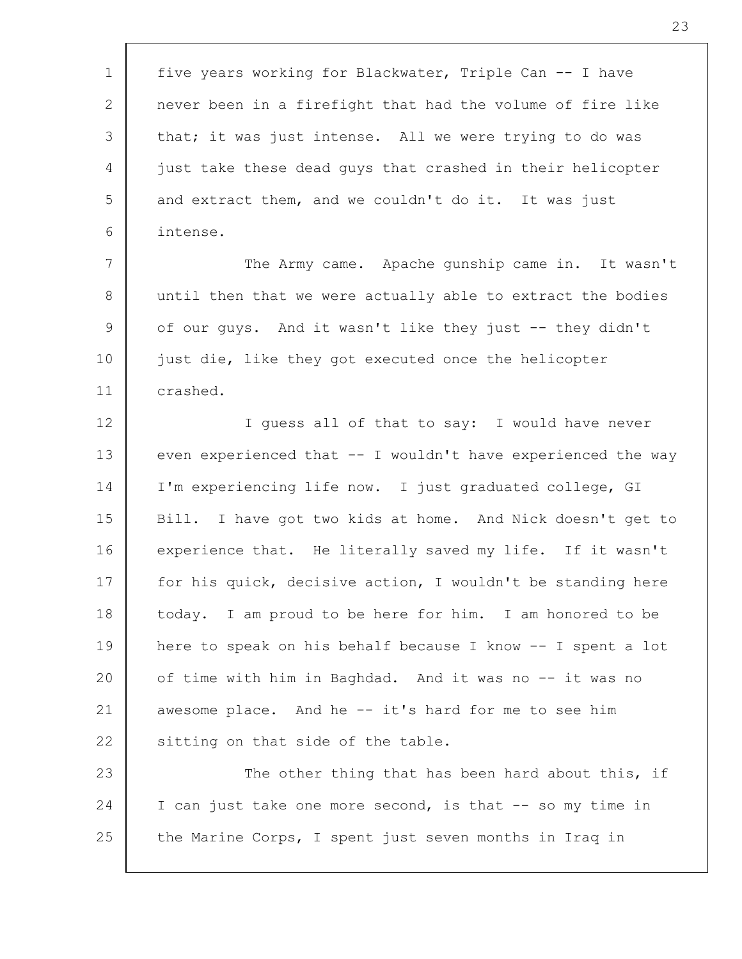| $\mathbf 1$  | five years working for Blackwater, Triple Can -- I have      |
|--------------|--------------------------------------------------------------|
| $\mathbf{2}$ | never been in a firefight that had the volume of fire like   |
| 3            | that; it was just intense. All we were trying to do was      |
| 4            | just take these dead guys that crashed in their helicopter   |
| 5            | and extract them, and we couldn't do it. It was just         |
| 6            | intense.                                                     |
| 7            | The Army came. Apache gunship came in. It wasn't             |
| 8            | until then that we were actually able to extract the bodies  |
| 9            | of our guys. And it wasn't like they just -- they didn't     |
| 10           | just die, like they got executed once the helicopter         |
| 11           | crashed.                                                     |
| 12           | I guess all of that to say: I would have never               |
| 13           | even experienced that -- I wouldn't have experienced the way |
| 14           | I'm experiencing life now. I just graduated college, GI      |
| 15           | Bill. I have got two kids at home. And Nick doesn't get to   |
| 16           | experience that. He literally saved my life. If it wasn't    |
| 17           | for his quick, decisive action, I wouldn't be standing here  |
| 18           | today. I am proud to be here for him. I am honored to be     |
| 19           | here to speak on his behalf because I know -- I spent a lot  |
| 20           | of time with him in Baghdad. And it was no -- it was no      |
| 21           | awesome place. And he -- it's hard for me to see him         |
| 22           | sitting on that side of the table.                           |
| 23           | The other thing that has been hard about this, if            |
| 24           | I can just take one more second, is that -- so my time in    |
| 25           | the Marine Corps, I spent just seven months in Iraq in       |
|              |                                                              |

 $\lceil$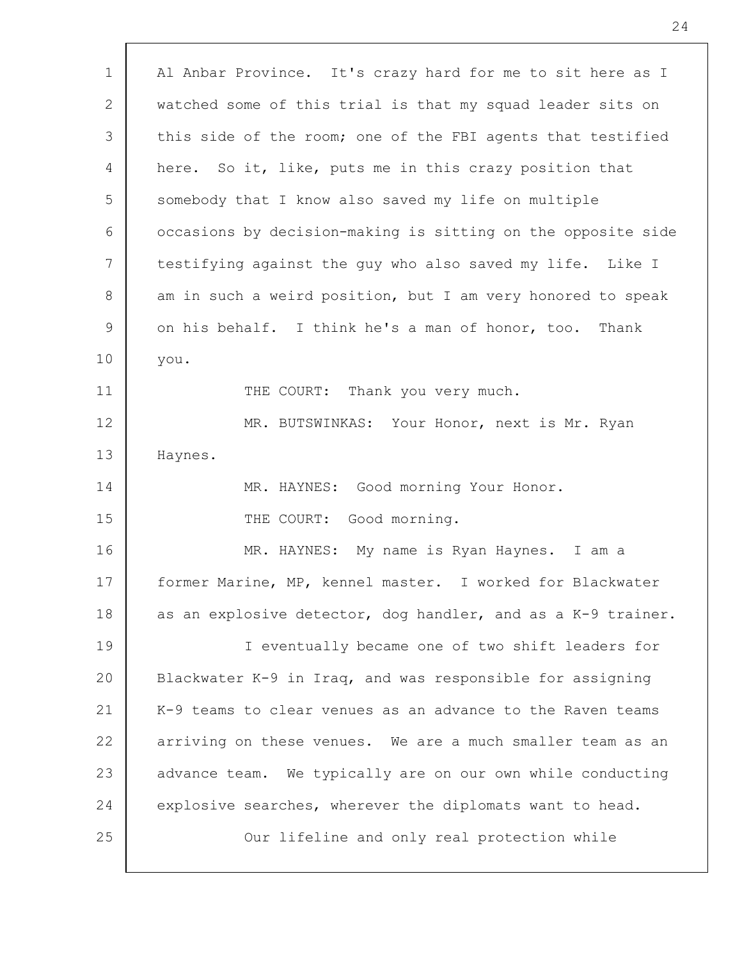| Al Anbar Province. It's crazy hard for me to sit here as I   |
|--------------------------------------------------------------|
| watched some of this trial is that my squad leader sits on   |
| this side of the room; one of the FBI agents that testified  |
| here. So it, like, puts me in this crazy position that       |
| somebody that I know also saved my life on multiple          |
| occasions by decision-making is sitting on the opposite side |
| testifying against the guy who also saved my life. Like I    |
| am in such a weird position, but I am very honored to speak  |
| on his behalf. I think he's a man of honor, too.<br>Thank    |
| you.                                                         |
| THE COURT: Thank you very much.                              |
| MR. BUTSWINKAS: Your Honor, next is Mr. Ryan                 |
| Haynes.                                                      |
| MR. HAYNES: Good morning Your Honor.                         |
| THE COURT: Good morning.                                     |
| MR. HAYNES: My name is Ryan Haynes. I am a                   |
| former Marine, MP, kennel master. I worked for Blackwater    |
| as an explosive detector, dog handler, and as a K-9 trainer. |
| I eventually became one of two shift leaders for             |
| Blackwater K-9 in Iraq, and was responsible for assigning    |
| K-9 teams to clear venues as an advance to the Raven teams   |
| arriving on these venues. We are a much smaller team as an   |
| advance team. We typically are on our own while conducting   |
| explosive searches, wherever the diplomats want to head.     |
| Our lifeline and only real protection while                  |
|                                                              |

 $\Gamma$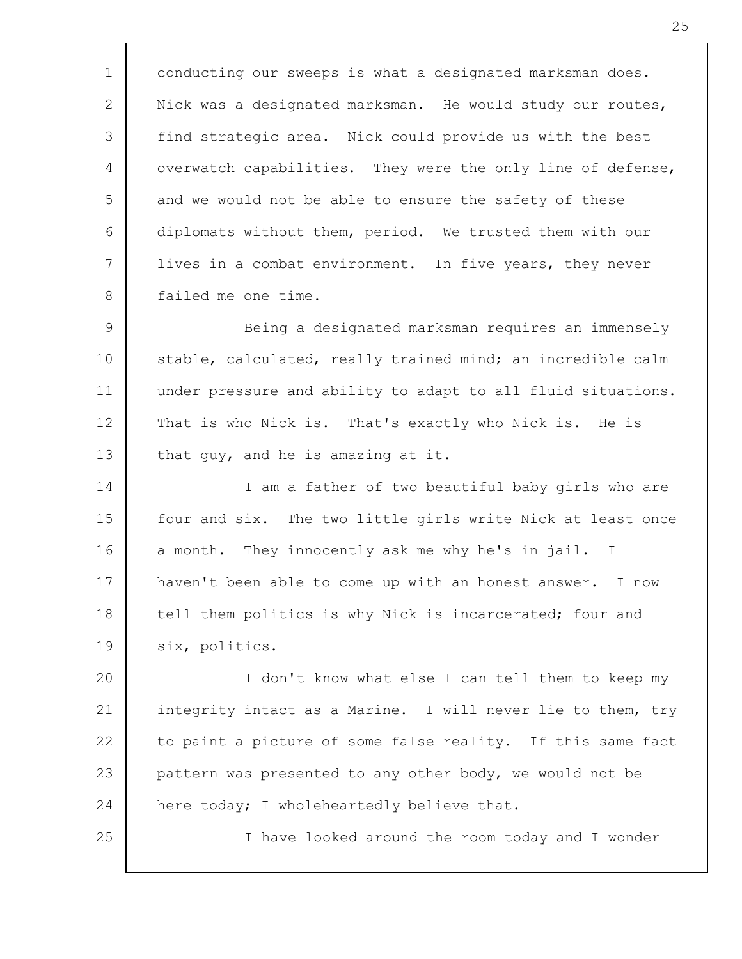1 2 3 4 5 6 7 8 9 10 11 12 13 14 15 16 17 18 19 20 21 22 23 24 25 conducting our sweeps is what a designated marksman does. Nick was a designated marksman. He would study our routes, find strategic area. Nick could provide us with the best overwatch capabilities. They were the only line of defense, and we would not be able to ensure the safety of these diplomats without them, period. We trusted them with our lives in a combat environment. In five years, they never failed me one time. Being a designated marksman requires an immensely stable, calculated, really trained mind; an incredible calm under pressure and ability to adapt to all fluid situations. That is who Nick is. That's exactly who Nick is. He is that guy, and he is amazing at it. I am a father of two beautiful baby girls who are four and six. The two little girls write Nick at least once a month. They innocently ask me why he's in jail. I haven't been able to come up with an honest answer. I now tell them politics is why Nick is incarcerated; four and six, politics. I don't know what else I can tell them to keep my integrity intact as a Marine. I will never lie to them, try to paint a picture of some false reality. If this same fact pattern was presented to any other body, we would not be here today; I wholeheartedly believe that. I have looked around the room today and I wonder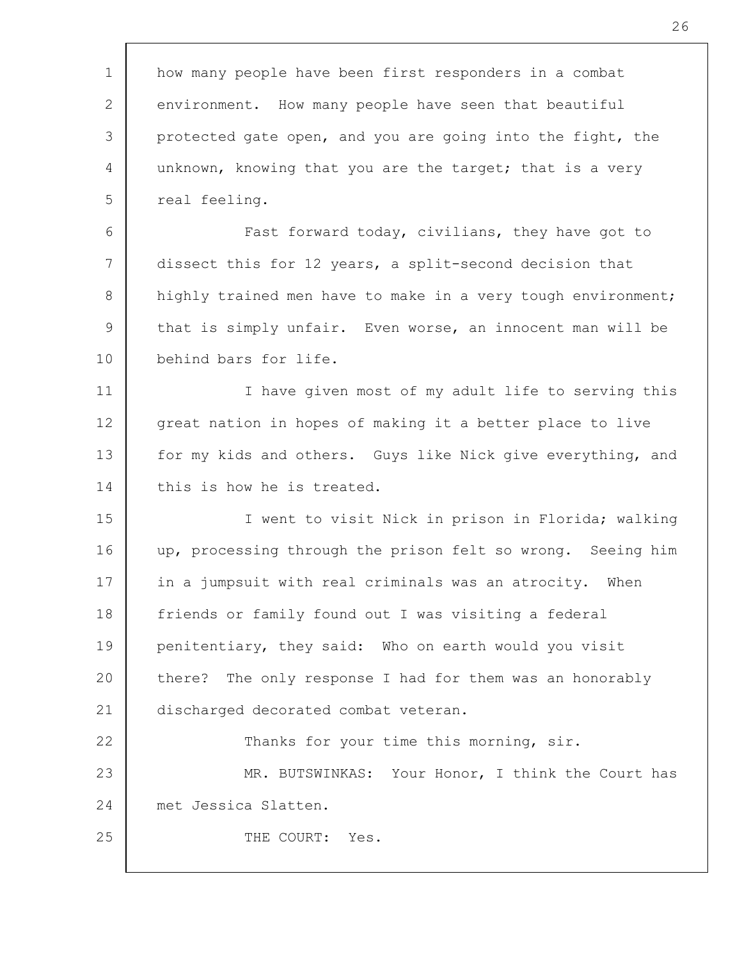| $\mathbf 1$ | how many people have been first responders in a combat       |
|-------------|--------------------------------------------------------------|
| 2           | environment. How many people have seen that beautiful        |
| 3           | protected gate open, and you are going into the fight, the   |
| 4           | unknown, knowing that you are the target; that is a very     |
| 5           | real feeling.                                                |
| 6           | Fast forward today, civilians, they have got to              |
| 7           | dissect this for 12 years, a split-second decision that      |
| 8           | highly trained men have to make in a very tough environment; |
| 9           | that is simply unfair. Even worse, an innocent man will be   |
| 10          | behind bars for life.                                        |
| 11          | I have given most of my adult life to serving this           |
| 12          | great nation in hopes of making it a better place to live    |
| 13          | for my kids and others. Guys like Nick give everything, and  |
| 14          | this is how he is treated.                                   |
| 15          | I went to visit Nick in prison in Florida; walking           |
| 16          | up, processing through the prison felt so wrong. Seeing him  |
| 17          | in a jumpsuit with real criminals was an atrocity. When      |
| 18          | friends or family found out I was visiting a federal         |
| 19          | penitentiary, they said: Who on earth would you visit        |
| 20          | there? The only response I had for them was an honorably     |
| 21          | discharged decorated combat veteran.                         |
| 22          | Thanks for your time this morning, sir.                      |
| 23          | MR. BUTSWINKAS: Your Honor, I think the Court has            |
| 24          | met Jessica Slatten.                                         |
| 25          | THE COURT:<br>Yes.                                           |
|             |                                                              |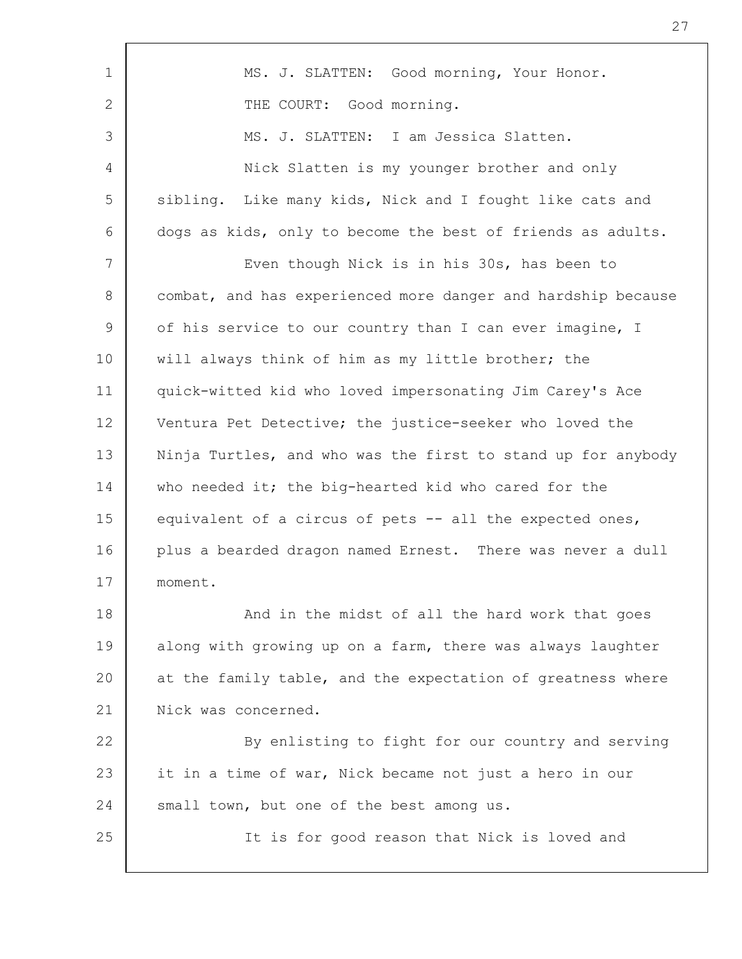| 1              | MS. J. SLATTEN: Good morning, Your Honor.                    |
|----------------|--------------------------------------------------------------|
| $\overline{2}$ | THE COURT: Good morning.                                     |
| 3              | MS. J. SLATTEN: I am Jessica Slatten.                        |
| 4              | Nick Slatten is my younger brother and only                  |
| 5              | sibling. Like many kids, Nick and I fought like cats and     |
| 6              | dogs as kids, only to become the best of friends as adults.  |
| 7              | Even though Nick is in his 30s, has been to                  |
| 8              | combat, and has experienced more danger and hardship because |
| 9              | of his service to our country than I can ever imagine, I     |
| 10             | will always think of him as my little brother; the           |
| 11             | quick-witted kid who loved impersonating Jim Carey's Ace     |
| 12             | Ventura Pet Detective; the justice-seeker who loved the      |
| 13             | Ninja Turtles, and who was the first to stand up for anybody |
| 14             | who needed it; the big-hearted kid who cared for the         |
| 15             | equivalent of a circus of pets -- all the expected ones,     |
| 16             | plus a bearded dragon named Ernest. There was never a dull   |
| 17             | moment.                                                      |
| 18             | And in the midst of all the hard work that goes              |
| 19             | along with growing up on a farm, there was always laughter   |
| 20             | at the family table, and the expectation of greatness where  |
| 21             | Nick was concerned.                                          |
| 22             | By enlisting to fight for our country and serving            |
| 23             | it in a time of war, Nick became not just a hero in our      |
| 24             | small town, but one of the best among us.                    |
| 25             | It is for good reason that Nick is loved and                 |
|                |                                                              |

Г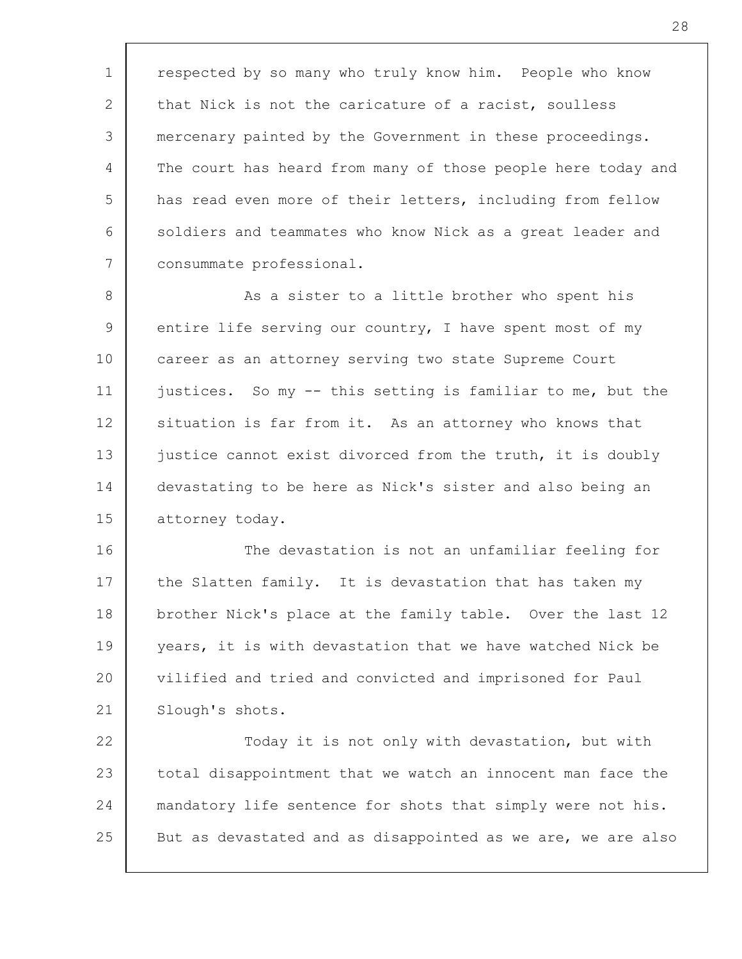1 2 3 4 5 6 7 respected by so many who truly know him. People who know that Nick is not the caricature of a racist, soulless mercenary painted by the Government in these proceedings. The court has heard from many of those people here today and has read even more of their letters, including from fellow soldiers and teammates who know Nick as a great leader and consummate professional.

8 9 10 11 12 13 14 15 As a sister to a little brother who spent his entire life serving our country, I have spent most of my career as an attorney serving two state Supreme Court justices. So my -- this setting is familiar to me, but the situation is far from it. As an attorney who knows that justice cannot exist divorced from the truth, it is doubly devastating to be here as Nick's sister and also being an attorney today.

16 17 18 19 20 21 The devastation is not an unfamiliar feeling for the Slatten family. It is devastation that has taken my brother Nick's place at the family table. Over the last 12 years, it is with devastation that we have watched Nick be vilified and tried and convicted and imprisoned for Paul Slough's shots.

22 23 24 25 Today it is not only with devastation, but with total disappointment that we watch an innocent man face the mandatory life sentence for shots that simply were not his. But as devastated and as disappointed as we are, we are also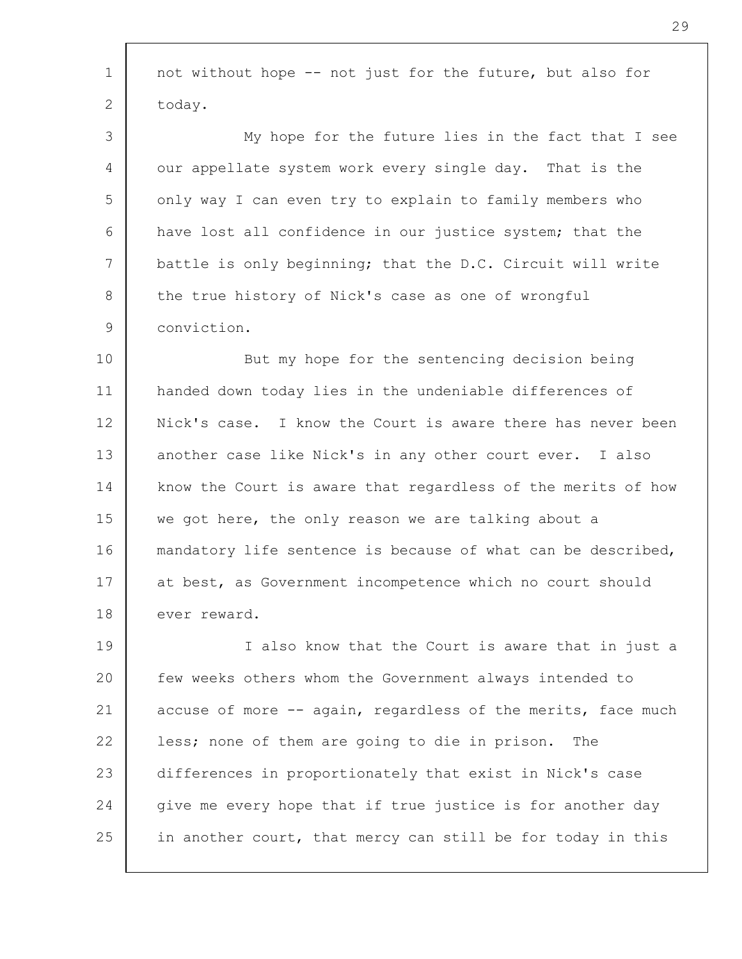| $\mathbf 1$ | not without hope -- not just for the future, but also for    |
|-------------|--------------------------------------------------------------|
| 2           | today.                                                       |
| 3           | My hope for the future lies in the fact that I see           |
| 4           | our appellate system work every single day. That is the      |
| 5           | only way I can even try to explain to family members who     |
| 6           | have lost all confidence in our justice system; that the     |
| 7           | battle is only beginning; that the D.C. Circuit will write   |
| 8           | the true history of Nick's case as one of wrongful           |
| 9           | conviction.                                                  |
| 10          | But my hope for the sentencing decision being                |
| 11          | handed down today lies in the undeniable differences of      |
| 12          | Nick's case. I know the Court is aware there has never been  |
| 13          | another case like Nick's in any other court ever. I also     |
| 14          | know the Court is aware that regardless of the merits of how |
| 15          | we got here, the only reason we are talking about a          |
| 16          | mandatory life sentence is because of what can be described, |
| 17          | at best, as Government incompetence which no court should    |
| 18          | ever reward.                                                 |
| 19          | I also know that the Court is aware that in just a           |
| 20          | few weeks others whom the Government always intended to      |
| 21          | accuse of more -- again, regardless of the merits, face much |
| 22          | less; none of them are going to die in prison.<br>The        |
| 23          | differences in proportionately that exist in Nick's case     |
| 24          | give me every hope that if true justice is for another day   |
| 25          | in another court, that mercy can still be for today in this  |
|             |                                                              |

 $\sqrt{ }$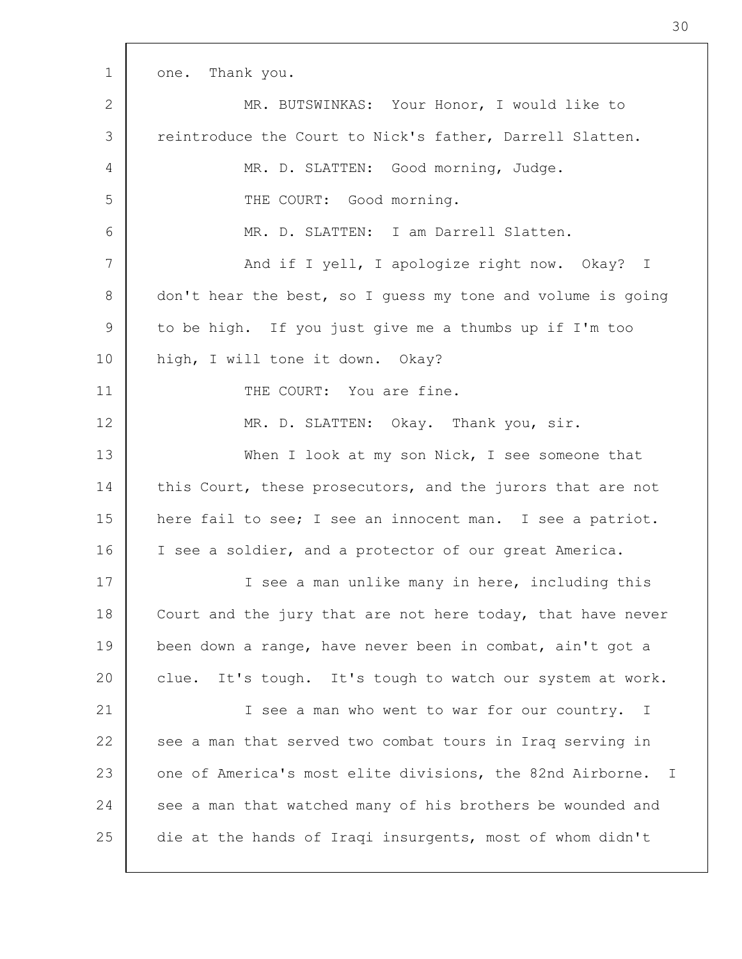| 1  | one. Thank you.                                             |
|----|-------------------------------------------------------------|
| 2  | MR. BUTSWINKAS: Your Honor, I would like to                 |
| 3  | reintroduce the Court to Nick's father, Darrell Slatten.    |
| 4  | MR. D. SLATTEN: Good morning, Judge.                        |
| 5  | THE COURT: Good morning.                                    |
| 6  | MR. D. SLATTEN: I am Darrell Slatten.                       |
| 7  | And if I yell, I apologize right now. Okay? I               |
| 8  | don't hear the best, so I quess my tone and volume is going |
| 9  | to be high. If you just give me a thumbs up if I'm too      |
| 10 | high, I will tone it down. Okay?                            |
| 11 | THE COURT: You are fine.                                    |
| 12 | MR. D. SLATTEN: Okay. Thank you, sir.                       |
| 13 | When I look at my son Nick, I see someone that              |
| 14 | this Court, these prosecutors, and the jurors that are not  |
| 15 | here fail to see; I see an innocent man. I see a patriot.   |
| 16 | I see a soldier, and a protector of our great America.      |
| 17 | I see a man unlike many in here, including this             |
| 18 | Court and the jury that are not here today, that have never |
| 19 | been down a range, have never been in combat, ain't got a   |
| 20 | clue. It's tough. It's tough to watch our system at work.   |
| 21 | I see a man who went to war for our country. I              |
| 22 | see a man that served two combat tours in Iraq serving in   |
| 23 | one of America's most elite divisions, the 82nd Airborne. I |
| 24 | see a man that watched many of his brothers be wounded and  |
| 25 | die at the hands of Iraqi insurgents, most of whom didn't   |
|    |                                                             |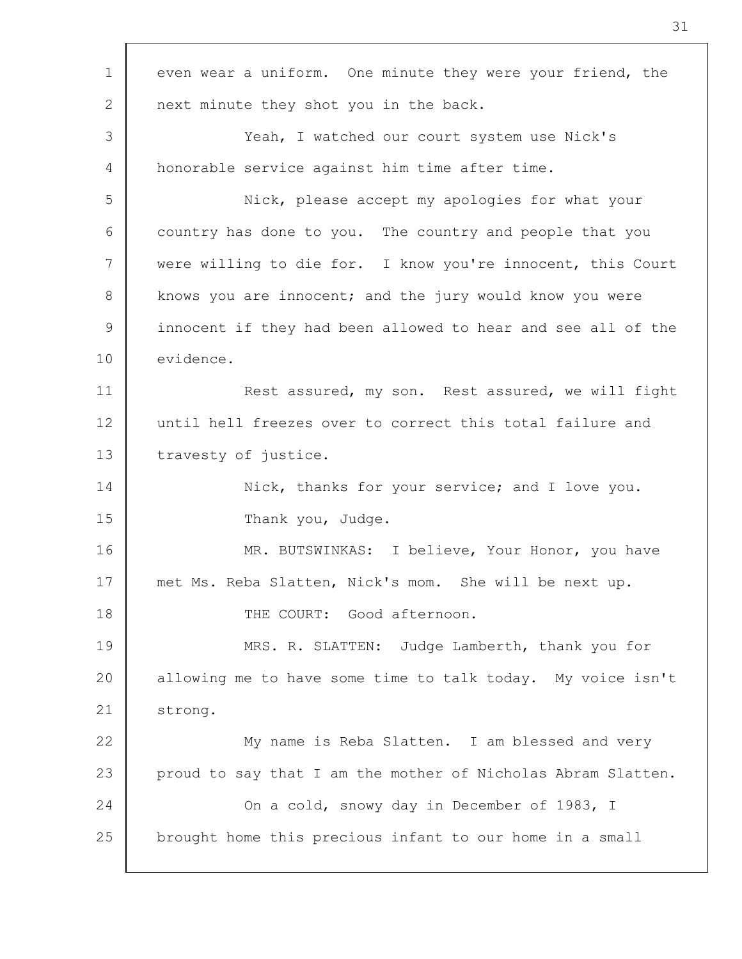| $\mathbf 1$   | even wear a uniform. One minute they were your friend, the   |
|---------------|--------------------------------------------------------------|
| 2             | next minute they shot you in the back.                       |
| 3             | Yeah, I watched our court system use Nick's                  |
| 4             | honorable service against him time after time.               |
| 5             | Nick, please accept my apologies for what your               |
| 6             | country has done to you. The country and people that you     |
| 7             | were willing to die for. I know you're innocent, this Court  |
| 8             | knows you are innocent; and the jury would know you were     |
| $\mathcal{G}$ | innocent if they had been allowed to hear and see all of the |
| 10            | evidence.                                                    |
| 11            | Rest assured, my son. Rest assured, we will fight            |
| 12            | until hell freezes over to correct this total failure and    |
| 13            | travesty of justice.                                         |
| 14            | Nick, thanks for your service; and I love you.               |
| 15            | Thank you, Judge.                                            |
| 16            | MR. BUTSWINKAS: I believe, Your Honor, you have              |
| 17            | met Ms. Reba Slatten, Nick's mom. She will be next up.       |
| 18            | THE COURT: Good afternoon.                                   |
| 19            | MRS. R. SLATTEN: Judge Lamberth, thank you for               |
| 20            | allowing me to have some time to talk today. My voice isn't  |
| 21            | strong.                                                      |
| 22            | My name is Reba Slatten. I am blessed and very               |
| 23            | proud to say that I am the mother of Nicholas Abram Slatten. |
| 24            | On a cold, snowy day in December of 1983, I                  |
| 25            | brought home this precious infant to our home in a small     |
|               |                                                              |

Г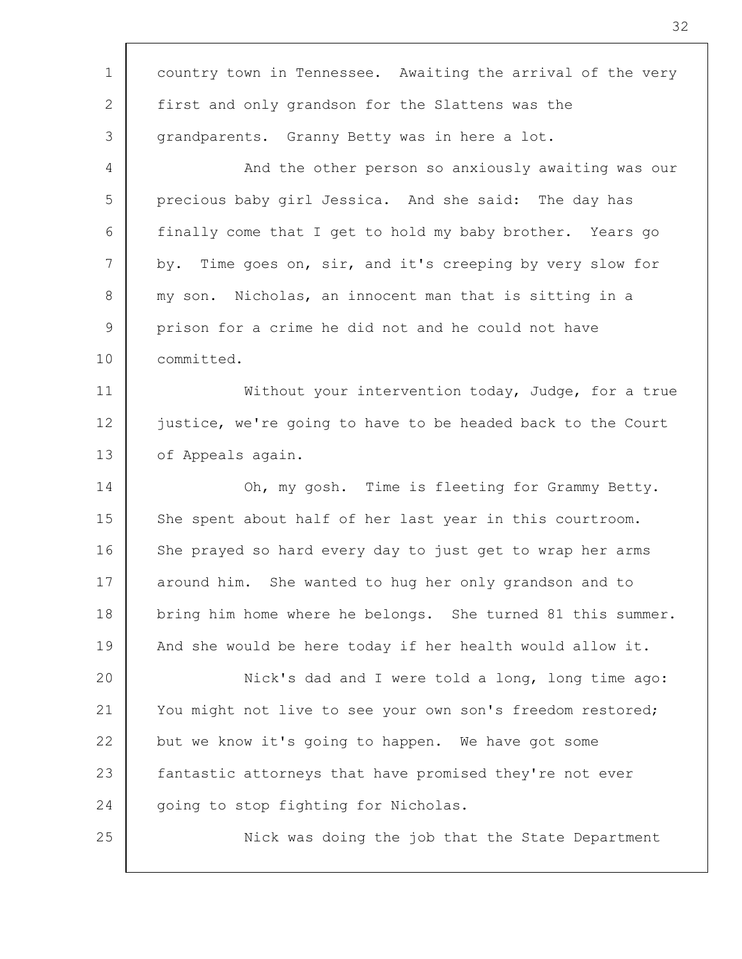| $\mathbf 1$    | country town in Tennessee. Awaiting the arrival of the very |
|----------------|-------------------------------------------------------------|
| 2              | first and only grandson for the Slattens was the            |
| 3              | grandparents. Granny Betty was in here a lot.               |
| 4              | And the other person so anxiously awaiting was our          |
| 5              | precious baby girl Jessica. And she said: The day has       |
| 6              | finally come that I get to hold my baby brother. Years go   |
| 7              | by. Time goes on, sir, and it's creeping by very slow for   |
| 8              | my son. Nicholas, an innocent man that is sitting in a      |
| $\overline{9}$ | prison for a crime he did not and he could not have         |
| 10             | committed.                                                  |
| 11             | Without your intervention today, Judge, for a true          |
| 12             | justice, we're going to have to be headed back to the Court |
| 13             | of Appeals again.                                           |
| 14             | Oh, my gosh. Time is fleeting for Grammy Betty.             |
| 15             | She spent about half of her last year in this courtroom.    |
| 16             | She prayed so hard every day to just get to wrap her arms   |
| 17             | around him. She wanted to hug her only grandson and to      |
| 18             | bring him home where he belongs. She turned 81 this summer. |
| 19             | And she would be here today if her health would allow it.   |
| 20             | Nick's dad and I were told a long, long time ago:           |
| 21             | You might not live to see your own son's freedom restored;  |
| 22             | but we know it's going to happen. We have got some          |
| 23             | fantastic attorneys that have promised they're not ever     |
| 24             | going to stop fighting for Nicholas.                        |
| 25             | Nick was doing the job that the State Department            |
|                |                                                             |

 $\Gamma$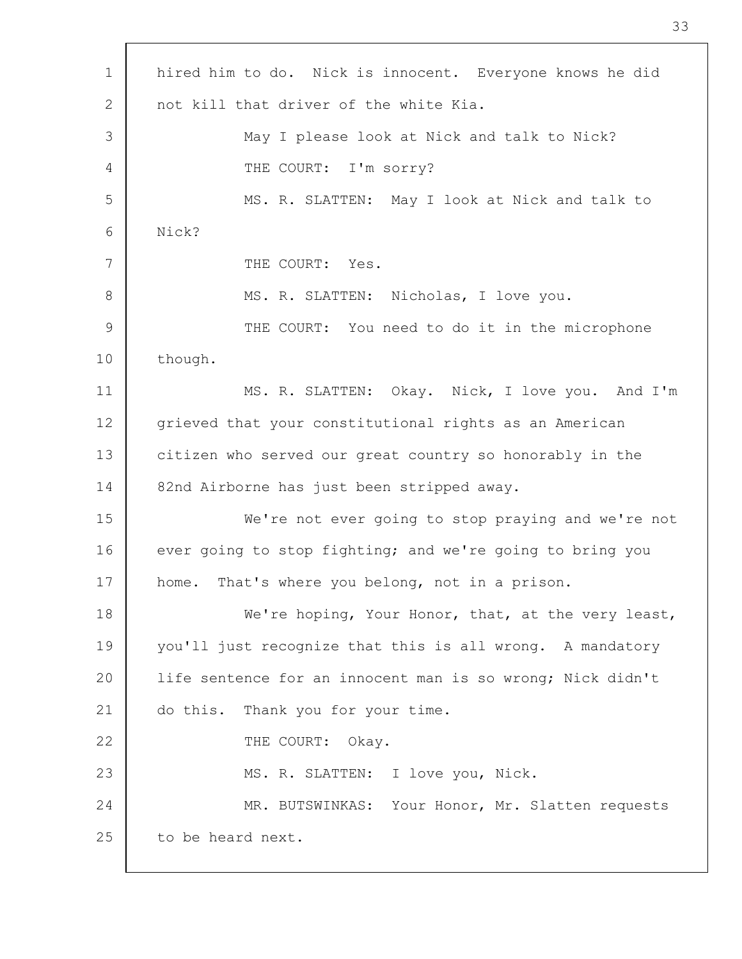| $\mathbf 1$     | hired him to do. Nick is innocent. Everyone knows he did   |
|-----------------|------------------------------------------------------------|
| 2               | not kill that driver of the white Kia.                     |
| 3               | May I please look at Nick and talk to Nick?                |
| 4               | THE COURT: I'm sorry?                                      |
| 5               | MS. R. SLATTEN: May I look at Nick and talk to             |
| 6               | Nick?                                                      |
| $7\overline{ }$ | THE COURT: Yes.                                            |
| 8               | MS. R. SLATTEN: Nicholas, I love you.                      |
| 9               | THE COURT: You need to do it in the microphone             |
| 10              | though.                                                    |
| 11              | MS. R. SLATTEN: Okay. Nick, I love you. And I'm            |
| 12              | grieved that your constitutional rights as an American     |
| 13              | citizen who served our great country so honorably in the   |
| 14              | 82nd Airborne has just been stripped away.                 |
| 15              | We're not ever going to stop praying and we're not         |
| 16              | ever going to stop fighting; and we're going to bring you  |
| 17              | home. That's where you belong, not in a prison.            |
| 18              | We're hoping, Your Honor, that, at the very least,         |
| 19              | you'll just recognize that this is all wrong. A mandatory  |
| 20              | life sentence for an innocent man is so wrong; Nick didn't |
| 21              | do this. Thank you for your time.                          |
| 22              | THE COURT: Okay.                                           |
| 23              | MS. R. SLATTEN: I love you, Nick.                          |
| 24              | MR. BUTSWINKAS: Your Honor, Mr. Slatten requests           |
| 25              | to be heard next.                                          |
|                 |                                                            |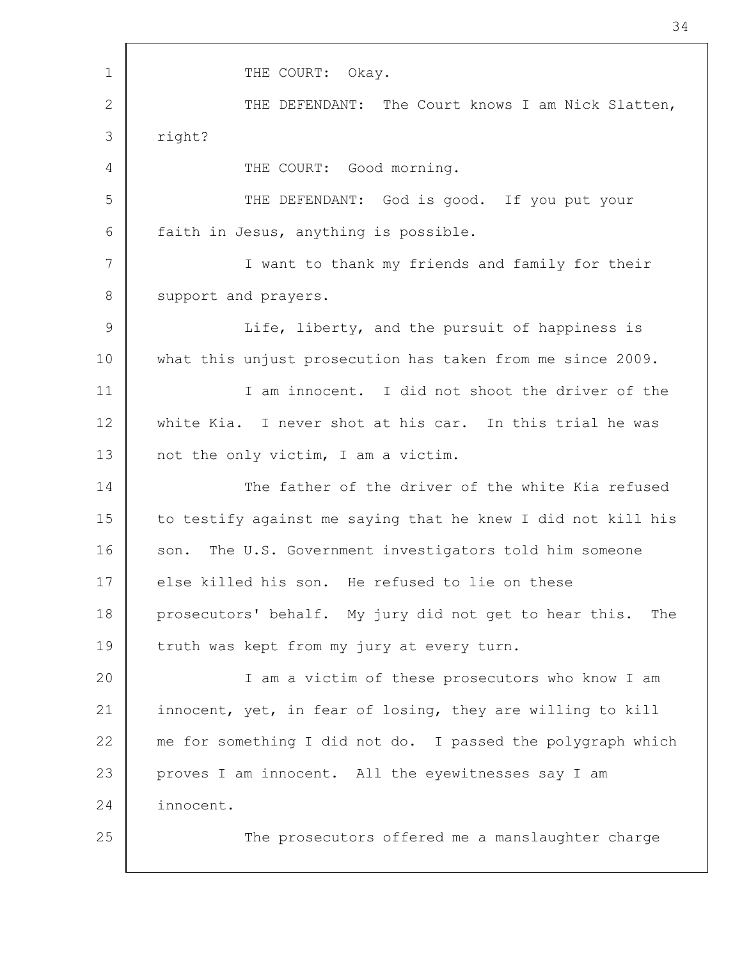1 2 3 4 5 6 7 8 9 10 11 12 13 14 15 16 17 18 19 20 21 22 23 24 25 THE COURT: Okay. THE DEFENDANT: The Court knows I am Nick Slatten, right? THE COURT: Good morning. THE DEFENDANT: God is good. If you put your faith in Jesus, anything is possible. I want to thank my friends and family for their support and prayers. Life, liberty, and the pursuit of happiness is what this unjust prosecution has taken from me since 2009. I am innocent. I did not shoot the driver of the white Kia. I never shot at his car. In this trial he was not the only victim, I am a victim. The father of the driver of the white Kia refused to testify against me saying that he knew I did not kill his son. The U.S. Government investigators told him someone else killed his son. He refused to lie on these prosecutors' behalf. My jury did not get to hear this. The truth was kept from my jury at every turn. I am a victim of these prosecutors who know I am innocent, yet, in fear of losing, they are willing to kill me for something I did not do. I passed the polygraph which proves I am innocent. All the eyewitnesses say I am innocent. The prosecutors offered me a manslaughter charge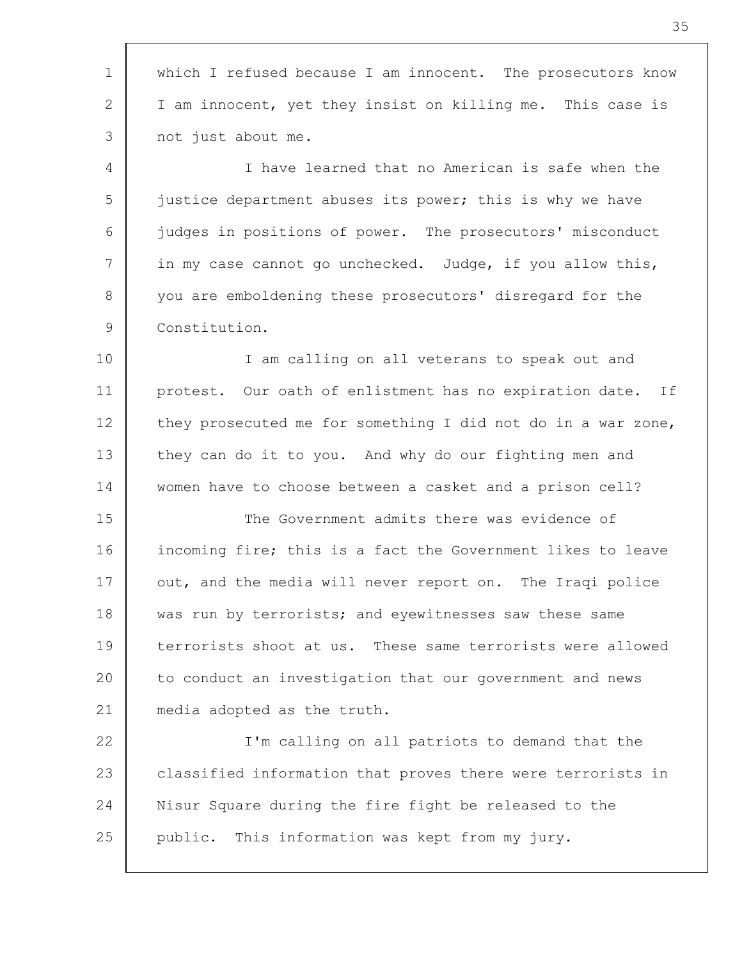1 2 3 4 5 6 7 8 9 10 11 12 13 14 15 16 17 18 19 20 21 22 23 24 25 which I refused because I am innocent. The prosecutors know I am innocent, yet they insist on killing me. This case is not just about me. I have learned that no American is safe when the justice department abuses its power; this is why we have judges in positions of power. The prosecutors' misconduct in my case cannot go unchecked. Judge, if you allow this, you are emboldening these prosecutors' disregard for the Constitution. I am calling on all veterans to speak out and protest. Our oath of enlistment has no expiration date. If they prosecuted me for something I did not do in a war zone, they can do it to you. And why do our fighting men and women have to choose between a casket and a prison cell? The Government admits there was evidence of incoming fire; this is a fact the Government likes to leave out, and the media will never report on. The Iraqi police was run by terrorists; and eyewitnesses saw these same terrorists shoot at us. These same terrorists were allowed to conduct an investigation that our government and news media adopted as the truth. I'm calling on all patriots to demand that the classified information that proves there were terrorists in Nisur Square during the fire fight be released to the public. This information was kept from my jury.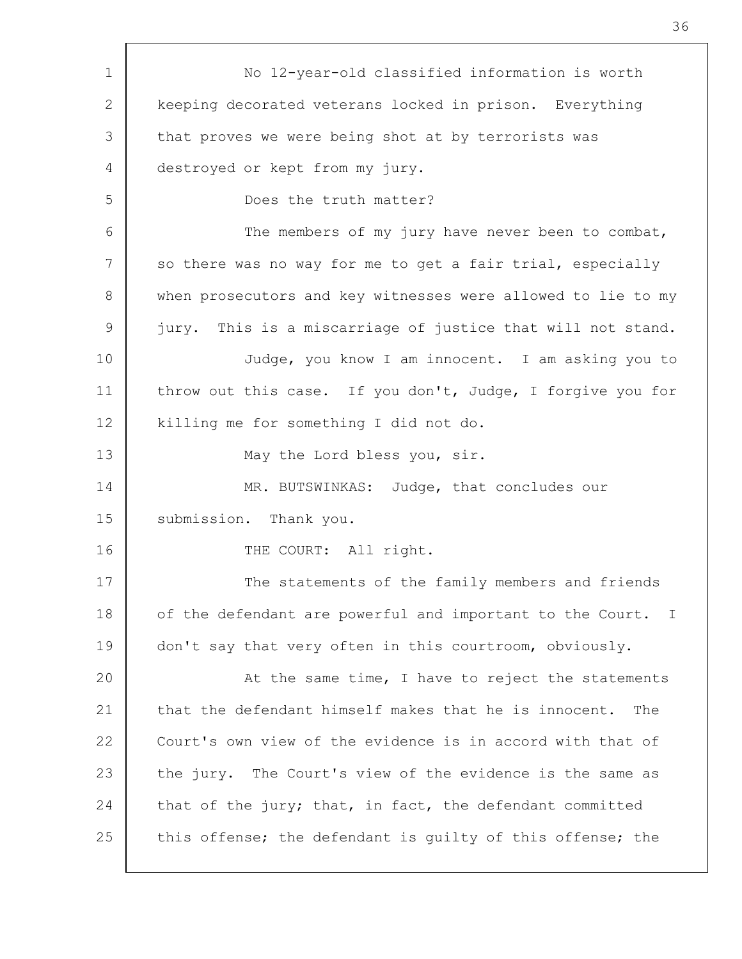| 1  | No 12-year-old classified information is worth               |
|----|--------------------------------------------------------------|
| 2  | keeping decorated veterans locked in prison. Everything      |
| 3  | that proves we were being shot at by terrorists was          |
| 4  | destroyed or kept from my jury.                              |
| 5  | Does the truth matter?                                       |
| 6  | The members of my jury have never been to combat,            |
| 7  | so there was no way for me to get a fair trial, especially   |
| 8  | when prosecutors and key witnesses were allowed to lie to my |
| 9  | jury. This is a miscarriage of justice that will not stand.  |
| 10 | Judge, you know I am innocent. I am asking you to            |
| 11 | throw out this case. If you don't, Judge, I forgive you for  |
| 12 | killing me for something I did not do.                       |
| 13 | May the Lord bless you, sir.                                 |
| 14 | MR. BUTSWINKAS: Judge, that concludes our                    |
| 15 | submission. Thank you.                                       |
| 16 | THE COURT: All right.                                        |
| 17 | The statements of the family members and friends             |
| 18 | of the defendant are powerful and important to the Court. I  |
| 19 | don't say that very often in this courtroom, obviously.      |
| 20 | At the same time, I have to reject the statements            |
| 21 | that the defendant himself makes that he is innocent.<br>The |
| 22 | Court's own view of the evidence is in accord with that of   |
| 23 | the jury. The Court's view of the evidence is the same as    |
| 24 | that of the jury; that, in fact, the defendant committed     |
| 25 | this offense; the defendant is quilty of this offense; the   |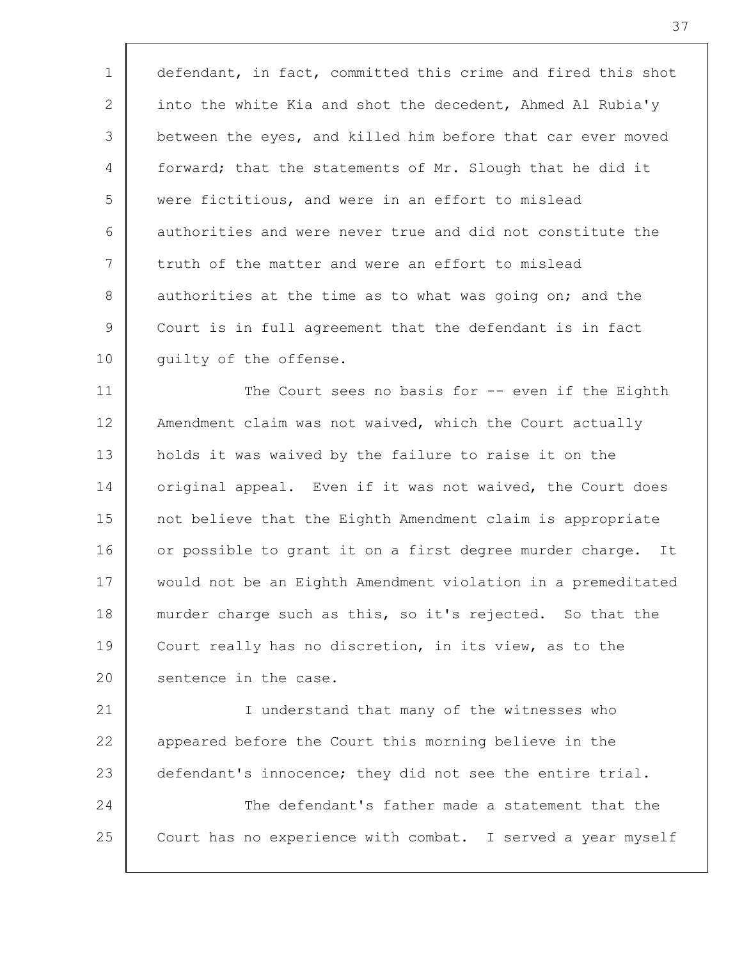1 2 3 4 5 6 7 8 9 10 defendant, in fact, committed this crime and fired this shot into the white Kia and shot the decedent, Ahmed Al Rubia'y between the eyes, and killed him before that car ever moved forward; that the statements of Mr. Slough that he did it were fictitious, and were in an effort to mislead authorities and were never true and did not constitute the truth of the matter and were an effort to mislead authorities at the time as to what was going on; and the Court is in full agreement that the defendant is in fact guilty of the offense.

11 12 13 14 15 16 17 18 19 20 The Court sees no basis for -- even if the Eighth Amendment claim was not waived, which the Court actually holds it was waived by the failure to raise it on the original appeal. Even if it was not waived, the Court does not believe that the Eighth Amendment claim is appropriate or possible to grant it on a first degree murder charge. It would not be an Eighth Amendment violation in a premeditated murder charge such as this, so it's rejected. So that the Court really has no discretion, in its view, as to the sentence in the case.

21 22 23 24 25 I understand that many of the witnesses who appeared before the Court this morning believe in the defendant's innocence; they did not see the entire trial. The defendant's father made a statement that the Court has no experience with combat. I served a year myself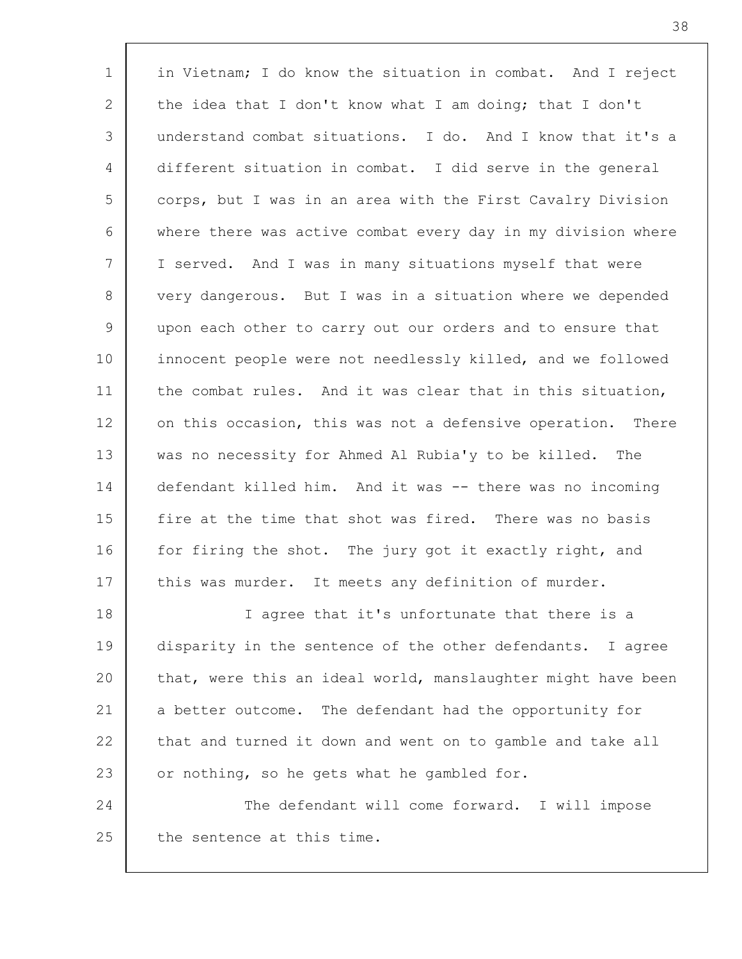1 2 3 4 5 6 7 8 9 10 11 12 13 14 15 16 17 18 19 20 21 22 23 24 25 in Vietnam; I do know the situation in combat. And I reject the idea that I don't know what I am doing; that I don't understand combat situations. I do. And I know that it's a different situation in combat. I did serve in the general corps, but I was in an area with the First Cavalry Division where there was active combat every day in my division where I served. And I was in many situations myself that were very dangerous. But I was in a situation where we depended upon each other to carry out our orders and to ensure that innocent people were not needlessly killed, and we followed the combat rules. And it was clear that in this situation, on this occasion, this was not a defensive operation. There was no necessity for Ahmed Al Rubia'y to be killed. The defendant killed him. And it was -- there was no incoming fire at the time that shot was fired. There was no basis for firing the shot. The jury got it exactly right, and this was murder. It meets any definition of murder. I agree that it's unfortunate that there is a disparity in the sentence of the other defendants. I agree that, were this an ideal world, manslaughter might have been a better outcome. The defendant had the opportunity for that and turned it down and went on to gamble and take all or nothing, so he gets what he gambled for. The defendant will come forward. I will impose the sentence at this time.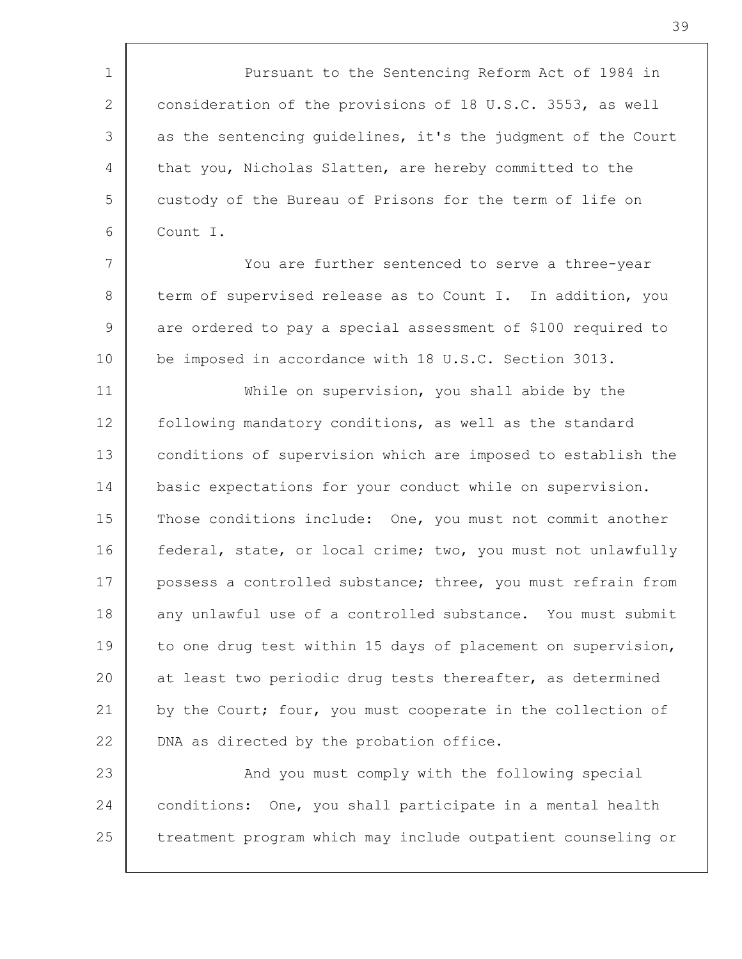1 2 3 4 5 6 Pursuant to the Sentencing Reform Act of 1984 in consideration of the provisions of 18 U.S.C. 3553, as well as the sentencing guidelines, it's the judgment of the Court that you, Nicholas Slatten, are hereby committed to the custody of the Bureau of Prisons for the term of life on Count I.

7 8 9 10 You are further sentenced to serve a three-year term of supervised release as to Count I. In addition, you are ordered to pay a special assessment of \$100 required to be imposed in accordance with 18 U.S.C. Section 3013.

11 12 13 14 15 16 17 18 19 20 21 22 While on supervision, you shall abide by the following mandatory conditions, as well as the standard conditions of supervision which are imposed to establish the basic expectations for your conduct while on supervision. Those conditions include: One, you must not commit another federal, state, or local crime; two, you must not unlawfully possess a controlled substance; three, you must refrain from any unlawful use of a controlled substance. You must submit to one drug test within 15 days of placement on supervision, at least two periodic drug tests thereafter, as determined by the Court; four, you must cooperate in the collection of DNA as directed by the probation office.

23 24 25 And you must comply with the following special conditions: One, you shall participate in a mental health treatment program which may include outpatient counseling or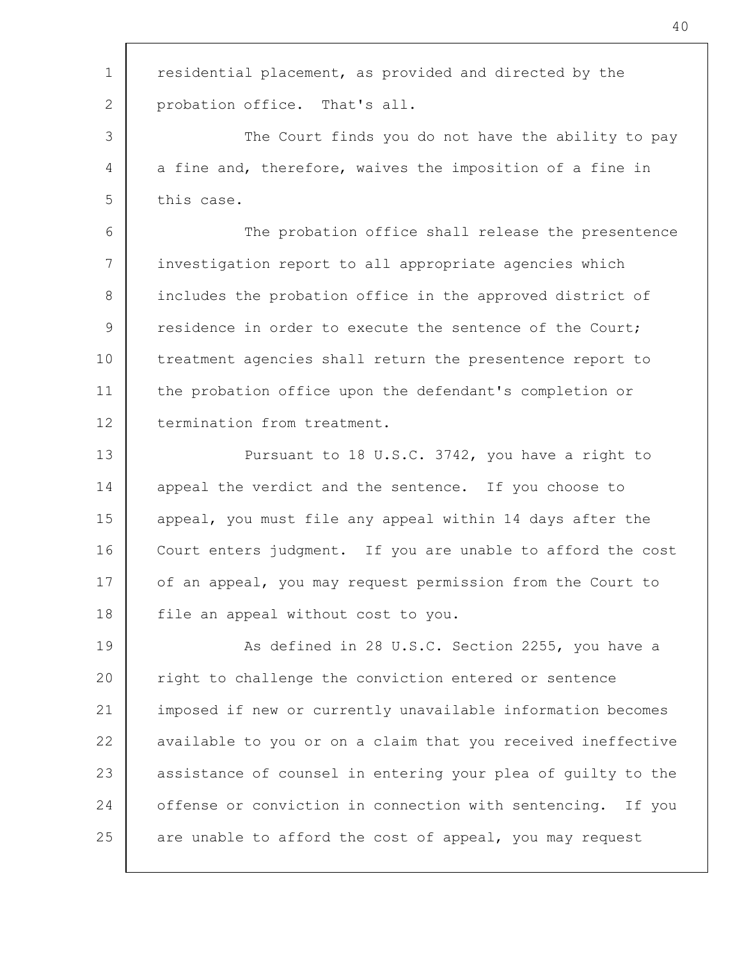| $\mathbf 1$ | residential placement, as provided and directed by the       |
|-------------|--------------------------------------------------------------|
| 2           | probation office. That's all.                                |
| 3           | The Court finds you do not have the ability to pay           |
| 4           | a fine and, therefore, waives the imposition of a fine in    |
| 5           | this case.                                                   |
| 6           | The probation office shall release the presentence           |
| 7           | investigation report to all appropriate agencies which       |
| 8           | includes the probation office in the approved district of    |
| 9           | residence in order to execute the sentence of the Court;     |
| 10          | treatment agencies shall return the presentence report to    |
| 11          | the probation office upon the defendant's completion or      |
| 12          | termination from treatment.                                  |
| 13          | Pursuant to 18 U.S.C. 3742, you have a right to              |
| 14          | appeal the verdict and the sentence. If you choose to        |
| 15          | appeal, you must file any appeal within 14 days after the    |
| 16          | Court enters judgment. If you are unable to afford the cost  |
| 17          | of an appeal, you may request permission from the Court to   |
| 18          | file an appeal without cost to you.                          |
| 19          | As defined in 28 U.S.C. Section 2255, you have a             |
| 20          | right to challenge the conviction entered or sentence        |
| 21          | imposed if new or currently unavailable information becomes  |
| 22          | available to you or on a claim that you received ineffective |
| 23          | assistance of counsel in entering your plea of guilty to the |
| 24          | offense or conviction in connection with sentencing. If you  |
| 25          | are unable to afford the cost of appeal, you may request     |
|             |                                                              |

Г